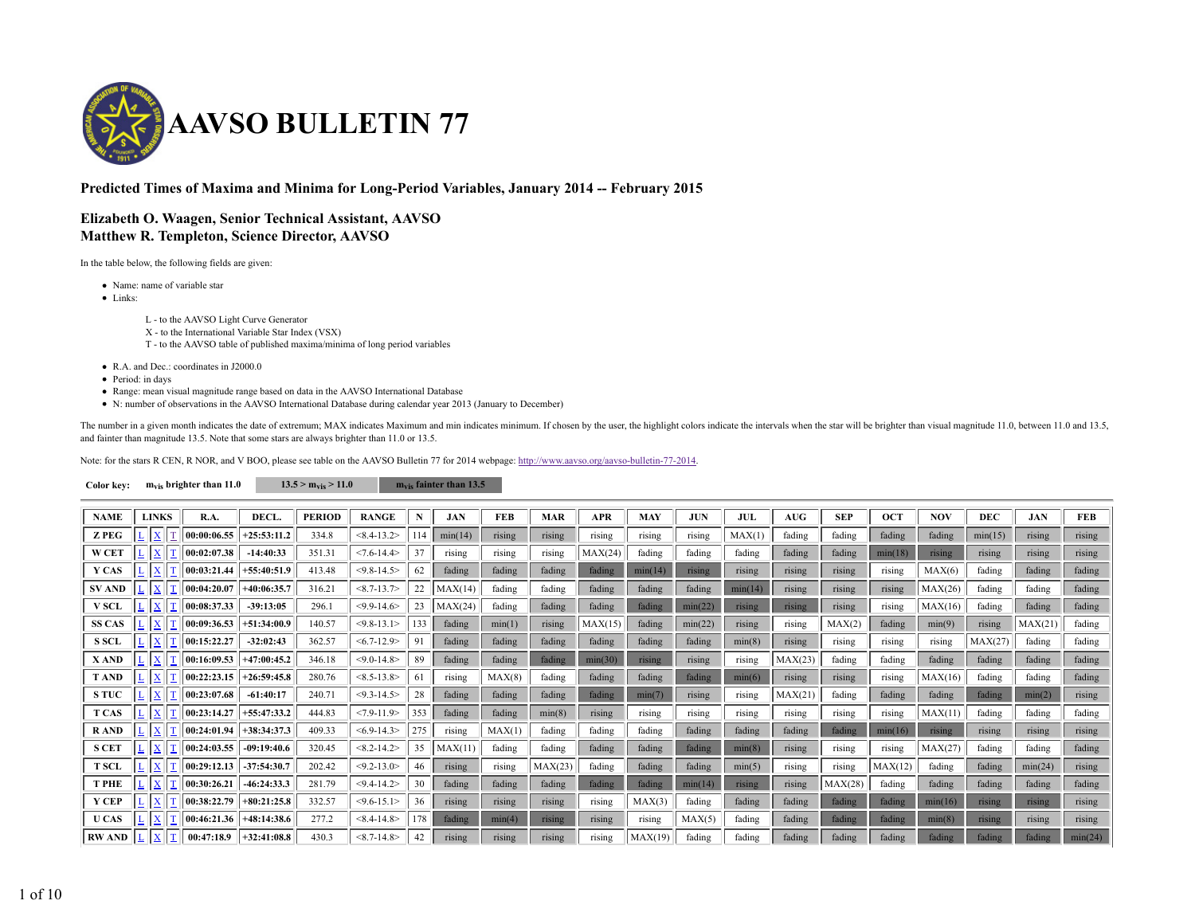

## **Predicted Times of Maxima and Minima for Long-Period Variables, January 2014 -- February 2015**

## **Elizabeth O. Waagen, Senior Technical Assistant, AAVSO Matthew R. Templeton, Science Director, AAVSO**

In the table below, the following fields are given:

- Name: name of variable star
- Links:

L - to the AAVSO Light Curve Generator

X - to the International Variable Star Index (VSX)

T - to the AAVSO table of published maxima/minima of long period variables

- R.A. and Dec.: coordinates in J2000.0
- Period: in days
- Range: mean visual magnitude range based on data in the AAVSO International Database
- N: number of observations in the AAVSO International Database during calendar year 2013 (January to December)

The number in a given month indicates the date of extremum; MAX indicates Maximum and min indicates minimum. If chosen by the user, the highlight colors indicate the intervals when the star will be brighter than visual mag and fainter than magnitude 13.5. Note that some stars are always brighter than 11.0 or 13.5.

Note: for the stars R CEN, R NOR, and V BOO, please see table on the AAVSO Bulletin 77 for 2014 webpage: http://www.aavso.org/aavso-bulletin-77-2014.

| Color kev: | $m_{vis}$ brighter than 11.0 | $13.5 > m_{vis} > 11.0$ | $m_{vis}$ fainter than 13.5 |
|------------|------------------------------|-------------------------|-----------------------------|
|            |                              |                         |                             |

| <b>NAME</b>   | <b>LINKS</b>             | R.A.                | <b>DECL</b>                                                                                                | <b>PERIOD</b> | <b>RANGE</b>     |     | JAN     | <b>FEB</b> | <b>MAR</b> | <b>APR</b> | <b>MAY</b> |         | JUL     | <b>AUG</b> | <b>SEP</b> | <b>OCT</b> | NOV     | <b>DEC</b> | JAN     | <b>FEB</b> |
|---------------|--------------------------|---------------------|------------------------------------------------------------------------------------------------------------|---------------|------------------|-----|---------|------------|------------|------------|------------|---------|---------|------------|------------|------------|---------|------------|---------|------------|
| <b>Z PEG</b>  |                          | 00:00:06.55         | $+25:53:11.2$                                                                                              | 334.8         | $< 8.4 - 13.2$   |     | min(14) | rising     | rising     | rising     | rising     | rising  | MAX(1)  | fading     | fading     | fading     | fading  | min(15)    | rising  | rising     |
| <b>W CET</b>  |                          | 00:02:07.38         | $-14:40:33$                                                                                                | 351.31        | $< 7.6 - 14.4$   |     | rising  | rising     | rising     | MAX(24)    | fading     | fading  | fading  | fading     | fading     | min(18)    | rising  | rising     | rising  | rising     |
| <b>Y CAS</b>  | $\mathbf X$              | 00:03:21.44         | $+55:40:51.9$                                                                                              | 413.48        | $<$ 9.8-14.5>    | 62  | fading  | fading     | fading     | fading     | min(14)    | rising  | rising  | rising     | rising     | rising     | MAX(6)  | fading     | fading  | fading     |
| <b>SV AND</b> |                          | 00:04:20.07         | $+40:06:35.7$                                                                                              | 316.21        | $< 8.7 - 13.7$   | 22  | MAX(14) | fading     | fading     | fading     | fading     | fading  | min(14) | rising     | rising     | rising     | MAX(26) | fading     | fading  | fading     |
| <b>V SCL</b>  |                          | 00:08:37.33         | $-39:13:05$                                                                                                | 296.1         | $<$ 9.9-14.6>    | 23  | MAX(24) | fading     | fading     | fading     | fading     | min(22) | rising  | rising     | rising     | rising     | MAX(16) | fading     | fading  | fading     |
| <b>SS CAS</b> | X                        | 00:09:36.53         | $+51:34:00.9$                                                                                              | 140.57        | $<$ 9.8-13.1>    | 133 | fading  | min(1)     | rising     | MAX(15)    | fading     | min(22) | rising  | rising     | MAX(2)     | fading     | min(9)  | rising     | MAX(21) | fading     |
| <b>S SCL</b>  | X                        | $\vert 00:15:22.27$ | $-32:02:43$                                                                                                | 362.57        | $< 6.7 - 12.9$   | 91  | fading  | fading     | fading     | fading     | fading     | fading  | min(8)  | rising     | rising     | rising     | rising  | MAX(27)    | fading  | fading     |
| X AND         | L X                      | 00:16:09.53         | $+47:00:45.2$                                                                                              | 346.18        | $< 9.0 - 14.8$   | 89  | fading  | fading     | fading     | min(30)    | rising     | rising  | rising  | MAX(23)    | fading     | fading     | fading  | fading     | fading  | fading     |
| <b>TAND</b>   | $\mathbf{x}$             | 00:22:23.15         | $+26:59:45.8$                                                                                              | 280.76        | $< 8.5 - 13.8 >$ | 61  | rising  | MAX(8)     | fading     | fading     | fading     | fading  | min(6)  | rising     | rising     | rising     | MAX(16) | fading     | fading  | fading     |
| <b>STUC</b>   | $\mathbf{x}$             | 00:23:07.68         | $-61:40:17$                                                                                                | 240.71        | $<$ 9.3-14.5>    | 28  | fading  | fading     | fading     | fading     | min(7)     | rising  | rising  | MAX(21)    | fading     | fading     | fading  | fading     | min(2)  | rising     |
| <b>T CAS</b>  | X                        |                     | $\ 00:23:14.27\  + 55:47:33.2\ $                                                                           | 444.83        | $<7.9-11.9>$     | 353 | fading  | fading     | min(8)     | rising     | rising     | rising  | rising  | rising     | rising     | rising     | MAX(11) | fading     | fading  | fading     |
| <b>RAND</b>   | X                        |                     | $\vert 00:24:01.94 \vert 0.38:34:37.3 \vert$                                                               | 409.33        | $< 6.9 - 14.3$   | 275 | rising  | MAX(1)     | fading     | fading     | fading     | fading  | fading  | fading     | fading     | min(16)    | rising  | rising     | rising  | rising     |
| <b>S CET</b>  | $L$ $X$ $T$              |                     | $\vert$ 00:24:03.55 $\vert$ -09:19:40.6                                                                    | 320.45        | $< 8.2 - 14.2$   | 35  | MAX(11) | fading     | fading     | fading     | fading     | fading  | min(8)  | rising     | rising     | rising     | MAX(27) | fading     | fading  | fading     |
| <b>T SCL</b>  | $L$ $X$                  |                     | $\vert$ 00:29:12.13 $\vert$ -37:54:30.7                                                                    | 202.42        | $<$ 9.2-13.0>    | 46  | rising  | rising     | MAX(23)    | fading     | fading     | fading  | min(5)  | rising     | rising     | MAX(12)    | fading  | fading     | min(24) | rising     |
| <b>T PHE</b>  | X                        |                     | $\vert$ 00:30:26.21 $\vert$ -46:24:33.3                                                                    | 281.79        | $<$ 9.4-14.2>    |     | fading  | fading     | fading     | fading     | fading     | min(14) | rising  | rising     | MAX(28)    | fading     | fading  | fading     | fading  | fading     |
| Y CEP         | $L$   $X$<br> T          |                     | $\vert$ 00:38:22.79 +80:21:25.8                                                                            | 332.57        | $<$ 9.6-15.1>    | 36  | rising  | rising     | rising     | rising     | MAX(3)     | fading  | fading  | fading     | fading     | fading     | min(16) | rising     | rising  | rising     |
| U CAS         | II<br>$L$ $\overline{X}$ |                     | $\vert$ 00:46:21.36 +48:14:38.6                                                                            | 277.2         | $< 8.4 - 14.8 >$ | 178 | fading  | min(4)     | rising     | rising     | rising     | MAX(5)  | fading  | fading     | fading     | fading     | min(8)  | rising     | rising  | rising     |
|               |                          |                     | RW AND $\ \underline{\mathbf{L}}\ \underline{\mathbf{X}}\ \underline{\mathbf{T}}\ $ 00:47:18.9 +32:41:08.8 | 430.3         | $< 8.7 - 14.8 >$ | 42  | rising  | rising     | rising     | rising     | MAX(19)    | fading  | fading  | fading     | fading     | fading     | fading  | fading     | fading  | min(24)    |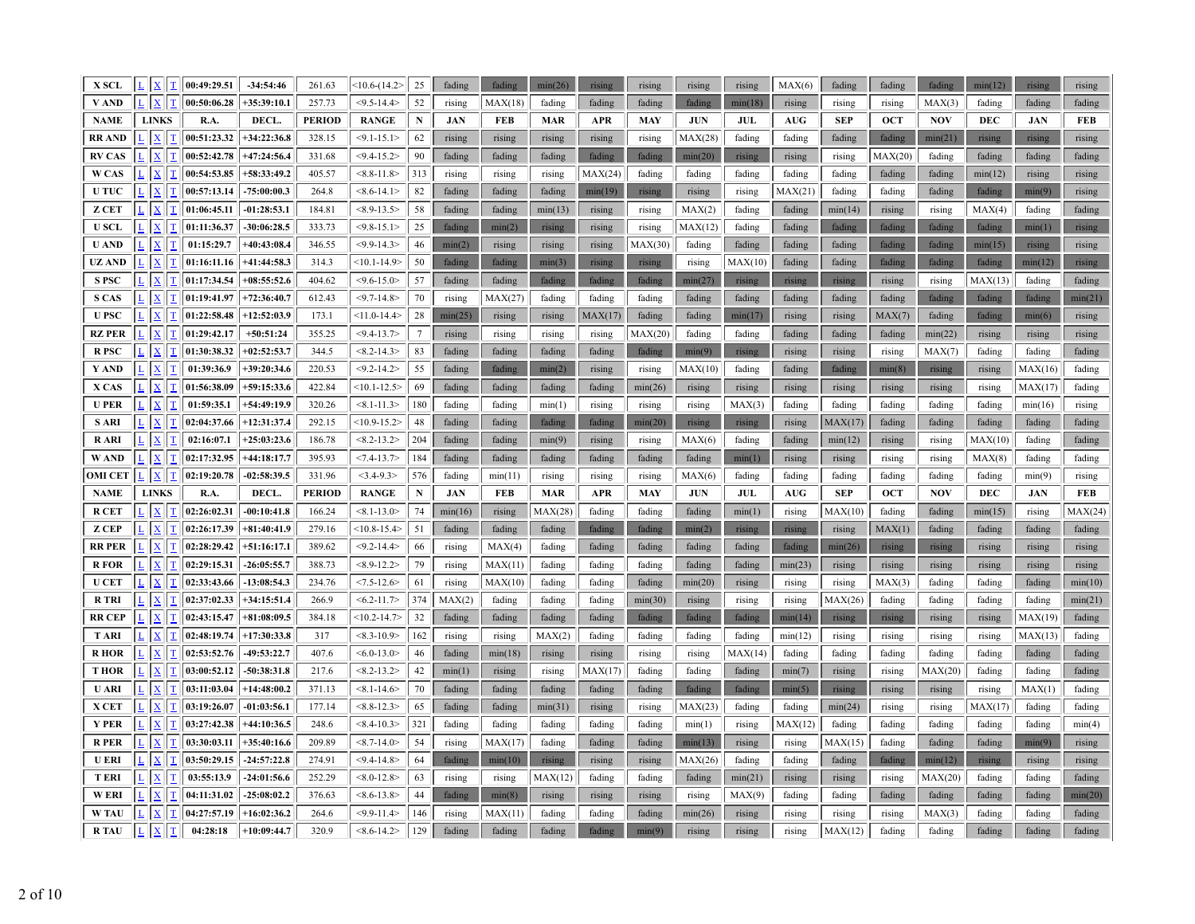| <b>X SCL</b>   |                                                                | $L$ $\ $ $\leq$ $\ $ $\ $ $\ $ $\ $ 00:49:29.51 | $-34:54:46$   | 261.63        | $(10.6-(14.2)$   | 25              | fading     | fading     | min(26)    | rising     | rising     | rising                           | rising     | MAX(6)     | fading     | fading     | fading     | min(12)    | rising        | rising     |
|----------------|----------------------------------------------------------------|-------------------------------------------------|---------------|---------------|------------------|-----------------|------------|------------|------------|------------|------------|----------------------------------|------------|------------|------------|------------|------------|------------|---------------|------------|
| V AND          | L  X <br>$\mathbf T$                                           | 00:50:06.28                                     | $+35:39:10.1$ | 257.73        | $< 9.5 - 14.4$   | 52              | rising     | MAX(18)    | fading     | fading     | fading     | fading                           | min(18)    | rising     | rising     | rising     | MAX(3)     | fading     | fading        | fading     |
| <b>NAME</b>    | <b>LINKS</b>                                                   | R.A.                                            | DECL.         | <b>PERIOD</b> | <b>RANGE</b>     | $\mathbf N$     | <b>JAN</b> | <b>FEB</b> | <b>MAR</b> | <b>APR</b> | <b>MAY</b> | <b>JUN</b>                       | <b>JUL</b> | <b>AUG</b> | <b>SEP</b> | <b>OCT</b> | <b>NOV</b> | <b>DEC</b> | <b>JAN</b>    | <b>FEB</b> |
| <b>RR AND</b>  | $\mathbf{X}$<br>$\mathbf T$                                    | 00:51:23.32                                     | $+34:22:36.8$ | 328.15        | $< 9.1 - 15.1 >$ | 62              | rising     | rising     | rising     | rising     | rising     | MAX(28)                          | fading     | fading     | fading     | fading     | min(21)    | rising     | <b>rising</b> | rising     |
| <b>RV CAS</b>  | $\sqrt{ \mathbf{X} }$<br>$\mathbf T$                           | 00:52:42.78                                     | $+47:24:56.4$ | 331.68        | $<$ 9.4-15.2>    | 90              | fading     | fading     | fading     | fading     | fading     | min(20)                          | rising     | rising     | rising     | MAX(20)    | fading     | fading     | fading        | fading     |
| W CAS          | $\mathbf{X}$<br>$\underline{\mathbf{T}}$                       | 00:54:53.85                                     | $+58:33:49.2$ | 405.57        | $< 8.8 - 11.8$   | 313             | rising     | rising     | rising     | MAX(24)    | fading     | fading                           | fading     | fading     | fading     | fading     | fading     | min(12)    | rising        | rising     |
| <b>UTUC</b>    | $\mathbf{X}$<br>$\mathbf T$                                    | 00:57:13.14                                     | $-75:00:00.3$ | 264.8         | $<8.6 - 14.1>$   | 82              | fading     | fading     | fading     | min(19)    | rising     | rising                           | rising     | MAX(21)    | fading     | fading     | fading     | fading     | min(9)        | rising     |
| <b>Z CET</b>   | $\mathbf{X}$<br>$\mathbf T$                                    | 01:06:45.11                                     | $-01:28:53.1$ | 184.81        | $<8.9 - 13.5>$   | 58              | fading     | fading     | min(13)    | rising     | rising     | MAX(2)                           | fading     | fading     | min(14)    | rising     | rising     | MAX(4)     | fading        | fading     |
| <b>USCL</b>    | $L$ $X$ $T$                                                    | 01:11:36.37                                     | $-30:06:28.5$ | 333.73        | $<$ 9.8-15.1>    | 25              | fading     | min(2)     | rising     | rising     | rising     | MAX(12)                          | fading     | fading     | fading     | fading     | fading     | fading     | min(1)        | rising     |
| <b>U AND</b>   | $ \mathbf{x} $<br>$\mathbf T$                                  | 01:15:29.7                                      | $+40:43:08.4$ | 346.55        | $<$ 9.9-14.3>    | 46              | min(2)     | rising     | rising     | rising     | MAX(30)    | fading                           | fading     | fading     | fading     | fading     | fading     | min(15)    | rising        | rising     |
| UZ AND         | $\mathbf{x}$<br>T                                              | 01:16:11.16                                     | $+41:44:58.3$ | 314.3         | $<10.1 - 14.9$   | 50              | fading     | fading     | min(3)     | rising     | rising     | rising                           | MAX(10)    | fading     | fading     | fading     | fading     | fading     | min(12)       | rising     |
| <b>SPSC</b>    | $\mathbf{x}$<br>$\mathbf T$                                    | 01:17:34.54                                     | $+08:55:52.6$ | 404.62        | $<$ 9.6-15.0>    | 57              | fading     | fading     | fading     | fading     | fading     | min(27)                          | rising     | rising     | rising     | rising     | rising     | MAX(13)    | fading        | fading     |
| <b>S CAS</b>   | $\mathbf{X}$<br>$\mathbf T$                                    | 01:19:41.97                                     | $+72:36:40.7$ | 612.43        | $< 9.7 - 14.8$   | 70              | rising     | MAX(27)    | fading     | fading     | fading     | fading                           | fading     | fading     | fading     | fading     | fading     | fading     | fading        | min(21)    |
| <b>U PSC</b>   | $\underline{\mathbf{X}}$<br>T                                  | 01:22:58.48                                     | $+12:52:03.9$ | 173.1         | $<11.0 - 14.4>$  | 28              | min(25)    | rising     | rising     | MAX(17)    | fading     | fading                           | min(17)    | rising     | rising     | MAX(7)     | fading     | fading     | min(6)        | rising     |
| <b>RZ PER</b>  | $\mathbf{X}$<br>$\mathbf T$                                    | 01:29:42.17                                     | $+50:51:24$   | 355.25        | $<$ 9.4-13.7>    | $7\phantom{.0}$ | rising     | rising     | rising     | rising     | MAX(20)    | fading                           | fading     | fading     | fading     | fading     | min(22)    | rising     | rising        | rising     |
| <b>R</b> PSC   | $\boxed{\underline{x}}$ $\boxed{\underline{\underline{\tau}}}$ | 01:30:38.32                                     | $+02:52:53.7$ | 344.5         | $<8.2 - 14.3>$   | 83              | fading     | fading     | fading     | fading     | fading     | min(9)                           | rising     | rising     | rising     | rising     | MAX(7)     | fading     | fading        | fading     |
| Y AND          | $\mathbf{X}$<br>$\mathbf T$                                    | 01:39:36.9                                      | $+39:20:34.6$ | 220.53        | $<$ 9.2-14.2>    | 55              | fading     | fading     | min(2)     | rising     | rising     | MAX(10)                          | fading     | fading     | fading     | min(8)     | rising     | rising     | MAX(16)       | fading     |
| X CAS          | $\mathbf{X}$                                                   | 01:56:38.09                                     | $+59:15:33.6$ | 422.84        | $<10.1 - 12.5$   | 69              | fading     | fading     | fading     | fading     | min(26)    | rising                           | rising     | rising     | rising     | rising     | rising     | rising     | MAX(17)       | fading     |
| <b>U PER</b>   | $\underline{\mathbf{X}}$<br>$\mathbf I$                        | 01:59:35.1                                      | $+54:49:19.9$ | 320.26        | $< 8.1 - 11.3$   | 180             | fading     | fading     | min(1)     | rising     | rising     | rising                           | MAX(3)     | fading     | fading     | fading     | fading     | fading     | min(16)       | rising     |
| <b>S ARI</b>   | $\mathbf{X}$<br>$\mathbf T$                                    | 02:04:37.66                                     | $+12:31:37.4$ | 292.15        | $<10.9 - 15.2>$  | 48              | fading     | fading     | fading     | fading     | min(20)    | rising                           | rising     | rising     | MAX(17)    | fading     | fading     | fading     | fading        | fading     |
| <b>RARI</b>    | $\mathbf{X}$<br>$\mathbf T$                                    | 02:16:07.1                                      | $+25:03:23.6$ | 186.78        | $<8.2 - 13.2>$   | 204             | fading     | fading     | min(9)     | rising     | rising     | MAX(6)                           | fading     | fading     | min(12)    | rising     | rising     | MAX(10)    | fading        | fading     |
| <b>WAND</b>    | $ \mathbf{X} $<br>$\mathbf T$                                  | 02:17:32.95                                     | $+44:18:17.7$ | 395.93        | $<7.4 - 13.7$    | 184             | fading     | fading     | fading     | fading     | fading     | fading                           | min(1)     | rising     | rising     | rising     | rising     | MAX(8)     | fading        | fading     |
|                |                                                                |                                                 |               |               |                  |                 |            |            |            |            |            |                                  |            |            |            |            |            |            |               |            |
| <b>OMI CET</b> | $L$ $X$ $T$                                                    | 02:19:20.78                                     | $-02:58:39.5$ | 331.96        | $<$ 3.4-9.3>     | 576             | fading     | min(11)    | rising     | rising     | rising     | MAX(6)                           | fading     | fading     | fading     | fading     | fading     | fading     | min(9)        | rising     |
| <b>NAME</b>    | <b>LINKS</b>                                                   | R.A.                                            | DECL.         | <b>PERIOD</b> | <b>RANGE</b>     | ${\bf N}$       | <b>JAN</b> | <b>FEB</b> | <b>MAR</b> | <b>APR</b> | <b>MAY</b> | $\mathbf{J}\mathbf{U}\mathbf{N}$ | JUL        | <b>AUG</b> | <b>SEP</b> | <b>OCT</b> | <b>NOV</b> | <b>DEC</b> | <b>JAN</b>    | <b>FEB</b> |
| <b>RCET</b>    | $\vert x \vert$                                                | 02:26:02.31                                     | $-00:10:41.8$ | 166.24        | $< 8.1 - 13.0$   | 74              | min(16)    | rising     | MAX(28)    | fading     | fading     | fading                           | min(1)     | rising     | MAX(10)    | fading     | fading     | min(15)    | rising        | MAX(24)    |
| Z CEP          | $\overline{\mathbf{L}}$ $\overline{\mathbf{X}}$<br>$\mathbf I$ | 02:26:17.39                                     | $+81:40:41.9$ | 279.16        | $<10.8 - 15.4$   | 51              | fading     | fading     | fading     | fading     | fading     | min(2)                           | rising     | rising     | rising     | MAX(1)     | fading     | fading     | fading        | fading     |
| <b>RR PER</b>  | $ \mathbf{x} $<br>$\mathbf T$                                  | 02:28:29.42                                     | $+51:16:17.1$ | 389.62        | $<$ 9.2-14.4>    | 66              | rising     | MAX(4)     | fading     | fading     | fading     | fading                           | fading     | fading     | min(26)    | rising     | rising     | rising     | rising        | rising     |
| <b>R</b> FOR   | $ \mathbf{X} $<br>$\mathbf T$                                  | 02:29:15.31                                     | $-26:05:55.7$ | 388.73        | $<8.9-12.2>$     | 79              | rising     | MAX(11)    | fading     | fading     | fading     | fading                           | fading     | min(23)    | rising     | rising     | rising     | rising     | rising        | rising     |
| <b>U CET</b>   | $\mathbf{X}$<br>T                                              | 02:33:43.66                                     | $-13:08:54.3$ | 234.76        | $< 7.5 - 12.6$   | 61              | rising     | MAX(10)    | fading     | fading     | fading     | min(20)                          | rising     | rising     | rising     | MAX(3)     | fading     | fading     | fading        | min(10)    |
| <b>RTRI</b>    | $ \mathbf{x} $<br>$\mathbf T$                                  | 02:37:02.33                                     | $+34:15:51.4$ | 266.9         | $< 6.2 - 11.7$   | 374             | MAX(2)     | fading     | fading     | fading     | min(30)    | rising                           | rising     | rising     | MAX(26)    | fading     | fading     | fading     | fading        | min(21)    |
| <b>RR CEP</b>  | $\mathbf{X}$ $\mathbf{T}$                                      | 02:43:15.47                                     | $+81:08:09.5$ | 384.18        | $<10.2 - 14.7>$  | 32              | fading     | fading     | fading     | fading     | fading     | fading                           | fading     | min(14)    | rising     | rising     | rising     | rising     | MAX(19)       | fading     |
| <b>TARI</b>    | $\mathbf{X}$<br>II                                             | 02:48:19.74                                     | $+17:30:33.8$ | 317           | $<8.3 - 10.9$    | 162             | rising     | rising     | MAX(2)     | fading     | fading     | fading                           | fading     | min(12)    | rising     | rising     | rising     | rising     | MAX(13)       | fading     |
| <b>RHOR</b>    | $\mathbf{X}$<br>$\mathbf T$                                    | 02:53:52.76                                     | -49:53:22.7   | 407.6         | $< 6.0 - 13.0$   | 46              | fading     | min(18)    | rising     | rising     | rising     | rising                           | MAX(14)    | fading     | fading     | fading     | fading     | fading     | fading        | fading     |
| <b>THOR</b>    | $\mathbf{X}$<br>$\mathbf T$                                    | 03:00:52.12                                     | $-50:38:31.8$ | 217.6         | $<8.2 - 13.2$    | 42              | min(1)     | rising     | rising     | MAX(17)    | fading     | fading                           | fading     | min(7)     | rising     | rising     | MAX(20)    | fading     | fading        | fading     |
| <b>U ARI</b>   | $ \mathbf{X} $<br><b>T</b>                                     | 03:11:03.04                                     | $+14:48:00.2$ | 371.13        | $< 8.1 - 14.6$   | 70              | fading     | fading     | fading     | fading     | fading     | fading                           | fading     | min(5)     | rising     | rising     | rising     | rising     | MAX(1)        | fading     |
| X CET          | $\sqrt{ \mathbf{X}}$<br>$\mathbf T$                            | 03:19:26.07                                     | $-01:03:56.1$ | 177.14        | $<8.8 - 12.3$    | 65              | fading     | fading     | min(31)    | rising     | rising     | MAX(23)                          | fading     | fading     | min(24)    | rising     | rising     | MAX(17)    | fading        | fading     |
| <b>Y PER</b>   | $L \mid X$<br><sup>T</sup>                                     | 03:27:42.38                                     | $+44:10:36.5$ | 248.6         | $<8.4-10.3>$     | 321             | fading     | fading     | fading     | fading     | fading     | min(1)                           | rising     | MAX(12)    | fading     | fading     | fading     | fading     | fading        | min(4)     |
| <b>R</b> PER   | $\mathbf{x}$<br>$\mathbf T$                                    | $\vert 03:30:03.11 \vert$                       | $+35:40:16.6$ | 209.89        | $<8.7 - 14.0$    | 54              | rising     | MAX(17)    | fading     | fading     | fading     | min(13)                          | rising     | rising     | MAX(15)    | fading     | fading     | fading     | min(9)        | rising     |
| <b>U ERI</b>   | $\vert x \vert$<br>$\mathbf T$                                 | 03:50:29.15                                     | $-24:57:22.8$ | 274.91        | $<$ 9.4-14.8>    | 64              | fading     | min(10)    | rising     | rising     | rising     | MAX(26)                          | fading     | fading     | fading     | fading     | min(12)    | rising     | rising        | rising     |
| <b>TERI</b>    | $ \mathbf{X} $<br>T                                            | 03:55:13.9                                      | $-24:01:56.6$ | 252.29        | $< 8.0 - 12.8 >$ | 63              | rising     | rising     | MAX(12)    | fading     | fading     | fading                           | min(21)    | rising     | rising     | rising     | MAX(20)    | fading     | fading        | fading     |
| <b>WERI</b>    | $\underline{\mathbf{X}}$<br>T                                  | 04:11:31.02                                     | $-25:08:02.2$ | 376.63        | $<8.6 - 13.8$    | 44              | fading     | min(8)     | rising     | rising     | rising     | rising                           | MAX(9)     | fading     | fading     | fading     | fading     | fading     | fading        | min(20)    |
| <b>W TAU</b>   | $\mathbf{X}$<br>$\mathbf T$<br>$L$ $X$                         | 04:27:57.19                                     | $+16:02:36.2$ | 264.6         | $<$ 9.9-11.4>    | 146             | rising     | MAX(11)    | fading     | fading     | fading     | min(26)                          | rising     | rising     | rising     | rising     | MAX(3)     | fading     | fading        | fading     |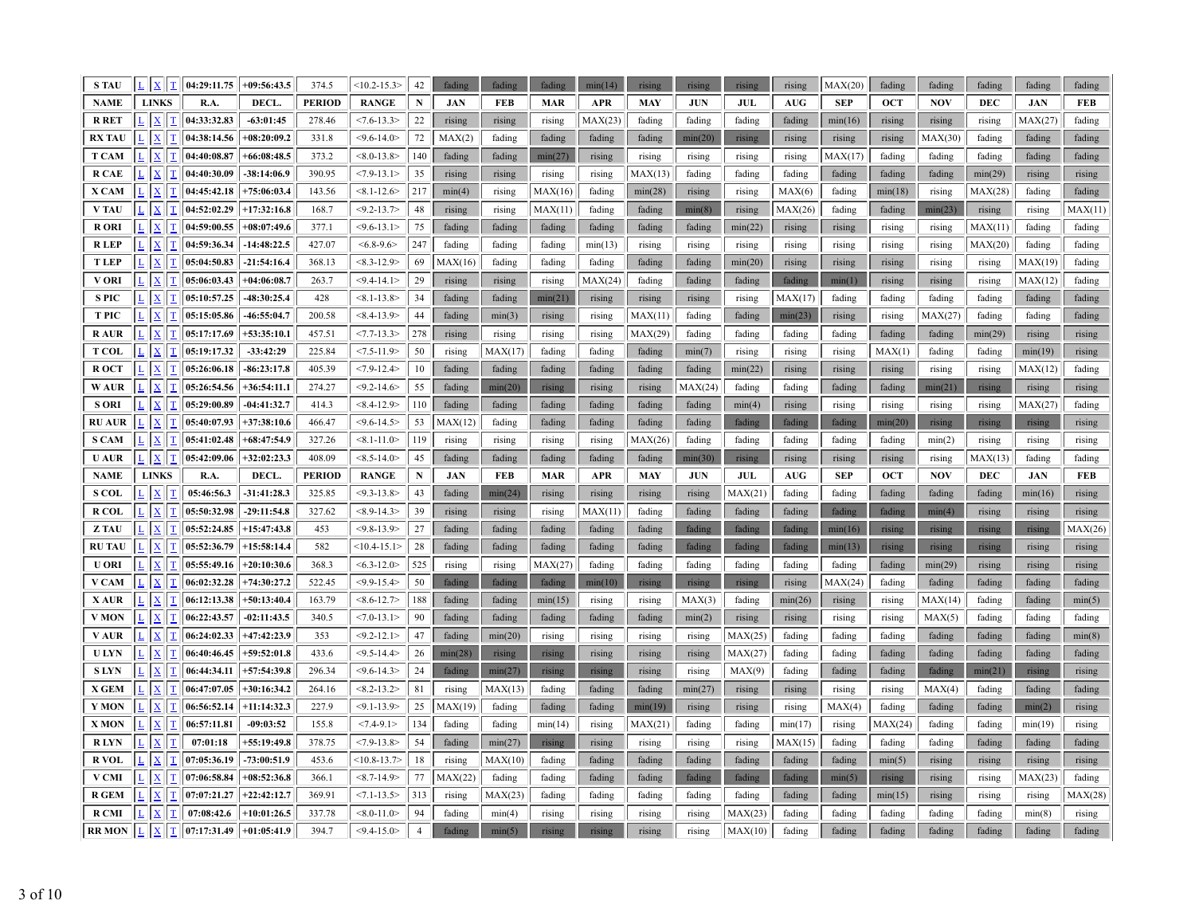| <b>STAU</b>   | $L$ $\vert$ $X$ $\vert$ $T$             | 04:29:11.75 | $+09:56:43.5$ | 374.5         | $<10.2 - 15.3>$  | 42             | fading     | fading     | fading     | min(14)    | rising     | rising     | rising     | rising     | MAX(20)    | fading     | fading     | fading     | fading     | fading     |
|---------------|-----------------------------------------|-------------|---------------|---------------|------------------|----------------|------------|------------|------------|------------|------------|------------|------------|------------|------------|------------|------------|------------|------------|------------|
| <b>NAME</b>   | <b>LINKS</b>                            | R.A.        | DECL.         | <b>PERIOD</b> | <b>RANGE</b>     | ${\bf N}$      | <b>JAN</b> | <b>FEB</b> | <b>MAR</b> | <b>APR</b> | <b>MAY</b> | <b>JUN</b> | <b>JUL</b> | AUG        | <b>SEP</b> | <b>OCT</b> | <b>NOV</b> | <b>DEC</b> | <b>JAN</b> | <b>FEB</b> |
| <b>R RET</b>  | $\overline{\mathbf{X}}$                 | 04:33:32.83 | $-63:01:45$   | 278.46        | $< 7.6 - 13.3$   | 22             | rising     | rising     | rising     | MAX(23)    | fading     | fading     | fading     | fading     | min(16)    | rising     | rising     | rising     | MAX(27)    | fading     |
| RX TAU        | $\overline{X}$<br>T                     | 04:38:14.56 | $+08:20:09.2$ | 331.8         | $<$ 9.6-14.0>    | 72             | MAX(2)     | fading     | fading     | fading     | fading     | min(20)    | rising     | rising     | rising     | rising     | MAX(30)    | fading     | fading     | fading     |
| <b>T CAM</b>  | $\mathbf{X}$<br>T                       | 04:40:08.87 | $+66:08:48.5$ | 373.2         | $< 8.0 - 13.8$   | 140            | fading     | fading     | min(27)    | rising     | rising     | rising     | rising     | rising     | MAX(17)    | fading     | fading     | fading     | fading     | fading     |
| <b>R CAE</b>  | $\mathbf{x}$<br>$\mathbf T$             | 04:40:30.09 | $-38:14:06.9$ | 390.95        | $<7.9 - 13.1>$   | 35             | rising     | rising     | rising     | rising     | MAX(13)    | fading     | fading     | fading     | fading     | fading     | fading     | min(29)    | rising     | rising     |
| X CAM         | $\mathbf{X}$<br>T                       | 04:45:42.18 | $+75:06:03.4$ | 143.56        | $< 8.1 - 12.6$   | 217            | min(4)     | rising     | MAX(16)    | fading     | min(28)    | rising     | rising     | MAX(6)     | fading     | min(18)    | rising     | MAX(28)    | fading     | fading     |
| V TAU         | $\overline{\mathbf{X}}$<br>T            | 04:52:02.29 | $+17:32:16.8$ | 168.7         | $<9.2 - 13.7$    | 48             | rising     | rising     | MAX(11)    | fading     | fading     | min(8)     | rising     | MAX(26)    | fading     | fading     | min(23)    | rising     | rising     | MAX(11)    |
| <b>RORI</b>   | $\mathbf{x}$<br>$\mathbf T$             | 04:59:00.55 | $+08:07:49.6$ | 377.1         | $<$ 9.6-13.1>    | 75             | fading     | fading     | fading     | fading     | fading     | fading     | min(22)    | rising     | rising     | rising     | rising     | MAX(11)    | fading     | fading     |
| <b>RLEP</b>   | $\mathbf{X}$<br>$\mathbf T$             | 04:59:36.34 | $-14:48:22.5$ | 427.07        | $<6.8-9.6>$      | 247            | fading     | fading     | fading     | min(13)    | rising     | rising     | rising     | rising     | rising     | rising     | rising     | MAX(20)    | fading     | fading     |
| <b>T LEP</b>  | $\overline{\mathbf{X}}$                 | 05:04:50.83 | $-21:54:16.4$ | 368.13        | $<8.3 - 12.9$    | 69             | MAX(16)    | fading     | fading     | fading     | fading     | fading     | min(20)    | rising     | rising     | rising     | rising     | rising     | MAX(19)    | fading     |
| V ORI         | $\overline{\mathbf{X}}$                 | 05:06:03.43 | $+04:06:08.7$ | 263.7         | $<$ 9.4-14.1>    | 29             | rising     | rising     | rising     | MAX(24)    | fading     | fading     | fading     | fading     | min(1)     | rising     | rising     | rising     | MAX(12)    | fading     |
| <b>SPIC</b>   | $\mathbf{x}$<br>T                       | 05:10:57.25 | 48:30:25.4    | 428           | $< 8.1 - 13.8$   | 34             | fading     | fading     | min(21)    | rising     | rising     | rising     | rising     | MAX(17)    | fading     | fading     | fading     | fading     | fading     | fading     |
| <b>TPIC</b>   | $\underline{\mathbf{X}}$<br>T           | 05:15:05.86 | 46:55:04.7    | 200.58        | $< 8.4 - 13.9$   | 44             | fading     | min(3)     | rising     | rising     | MAX(11)    | fading     | fading     | min(23)    | rising     | rising     | MAX(27)    | fading     | fading     | fading     |
| <b>RAUR</b>   | X                                       | 05:17:17.69 | $+53:35:10.1$ | 457.51        | $< 7.7 - 13.3$   | 278            | rising     | rising     | rising     | rising     | MAX(29)    | fading     | fading     | fading     | fading     | fading     | fading     | min(29)    | rising     | rising     |
| <b>T COL</b>  | $\underline{\mathbf{X}}$<br>$\mathbf I$ | 05:19:17.32 | $-33:42:29$   | 225.84        | $<7.5 - 11.9$    | 50             | rising     | MAX(17)    | fading     | fading     | fading     | min(7)     | rising     | rising     | rising     | MAX(1)     | fading     | fading     | min(19)    | rising     |
| R OCT         | $\mathbf{X}$<br>$\mathbf T$             | 05:26:06.18 | $-86:23:17.8$ | 405.39        | $< 7.9 - 12.4$   | 10             | fading     | fading     | fading     | fading     | fading     | fading     | min(22)    | rising     | rising     | rising     | rising     | rising     | MAX(12)    | fading     |
| <b>WAUR</b>   | $\mathbf{X}$<br>T                       | 05:26:54.56 | $+36:54:11.1$ | 274.27        | $<$ 9.2-14.6 $>$ | 55             | fading     | min(20)    | rising     | rising     | rising     | MAX(24)    | fading     | fading     | fading     | fading     | min(21)    | rising     | rising     | rising     |
| <b>S ORI</b>  | $\overline{\mathbf{X}}$                 | 05:29:00.89 | $-04:41:32.7$ | 414.3         | $< 8.4 - 12.9$   | 110            | fading     | fading     | fading     | fading     | fading     | fading     | min(4)     | rising     | rising     | rising     | rising     | rising     | MAX(27)    | fading     |
| <b>RU AUR</b> | $\mathbf{x}$<br>$\mathbf T$             | 05:40:07.93 | $+37:38:10.6$ | 466.47        | $<$ 9.6-14.5>    | 53             | MAX(12)    | fading     | fading     | fading     | fading     | fading     | fading     | fading     | fading     | min(20)    | rising     | rising     | rising     | rising     |
| <b>S CAM</b>  | $\mathbf{X}$<br>$\mathbf T$             | 05:41:02.48 | +68:47:54.9   | 327.26        | $< 8.1 - 11.0$   | 119            | rising     | rising     | rising     | rising     | MAX(26)    | fading     | fading     | fading     | fading     | fading     | min(2)     | rising     | rising     | rising     |
| <b>U AUR</b>  | $ \mathbf{X} $<br>$\mathbf T$           | 05:42:09.06 | $+32:02:23.3$ | 408.09        | $< 8.5 - 14.0$   | 45             | fading     | fading     | fading     | fading     | fading     | min(30)    | rising     | rising     | rising     | rising     | rising     | MAX(13)    | fading     | fading     |
| <b>NAME</b>   | <b>LINKS</b>                            | R.A.        | DECL.         | <b>PERIOD</b> | <b>RANGE</b>     | ${\bf N}$      | <b>JAN</b> | FEB        | <b>MAR</b> | <b>APR</b> | <b>MAY</b> | <b>JUN</b> | JUL        | <b>AUG</b> | <b>SEP</b> | <b>OCT</b> | <b>NOV</b> | <b>DEC</b> | <b>JAN</b> | <b>FEB</b> |
| <b>S COL</b>  | $\mathbf{X}$<br>$\mathbf T$             | 05:46:56.3  | -31:41:28.3   | 325.85        | $<$ 9.3-13.8>    | 43             | fading     | min(24)    | rising     | rising     | rising     | rising     | MAX(21)    | fading     | fading     | fading     | fading     | fading     | min(16)    | rising     |
| R COL         | $\mathbf{x}$<br>T                       | 05:50:32.98 | $-29:11:54.8$ | 327.62        | $<8.9 - 14.3>$   | 39             | rising     | rising     | rising     | MAX(11)    | fading     | fading     | fading     | fading     | fading     | fading     | min(4)     | rising     | rising     | rising     |
| Z TAU         | $\overline{\mathbf{X}}$<br>T            | 05:52:24.85 | $+15:47:43.8$ | 453           | $<9.8 - 13.9$    | 27             | fading     | fading     | fading     | fading     | fading     | fading     | fading     | fading     | min(16)    | rising     | rising     | rising     | rising     | MAX(26)    |
| <b>RU TAU</b> | X                                       | 05:52:36.79 | $+15:58:14.4$ | 582           | $<10.4 - 15.1>$  | 28             | fading     | fading     | fading     | fading     | fading     | fading     | fading     | fading     | min(13)    | rising     | rising     | rising     | rising     | rising     |
| <b>U ORI</b>  | $\mathbf{x}$<br>T                       | 05:55:49.16 | $+20:10:30.6$ | 368.3         | $< 6.3 - 12.0$   | 525            | rising     | rising     | MAX(27)    | fading     | fading     | fading     | fading     | fading     | fading     | fading     | min(29)    | rising     | rising     | rising     |
| V CAM         | $\underline{\mathbf{X}}$<br>T           | 06:02:32.28 | $+74:30:27.2$ | 522.45        | $<$ 9.9-15.4>    | 50             | fading     | fading     | fading     | min(10)    | rising     | rising     | rising     | rising     | MAX(24)    | fading     | fading     | fading     | fading     | fading     |
| X AUR         | $\mathbf{x}$<br>T                       | 06:12:13.38 | $+50:13:40.4$ | 163.79        | $<8.6 - 12.7$    | 188            | fading     | fading     | min(15)    | rising     | rising     | MAX(3)     | fading     | min(26)    | rising     | rising     | MAX(14)    | fading     | fading     | min(5)     |
| V MON         | $\overline{X}$<br>T                     | 06:22:43.57 | $-02:11:43.5$ | 340.5         | $< 7.0 - 13.1$   | 90             | fading     | fading     | fading     | fading     | fading     | min(2)     | rising     | rising     | rising     | rising     | MAX(5)     | fading     | fading     | fading     |
| V AUR         | $\mathbf{x}$<br>$\mathbf T$             | 06:24:02.33 | $+47:42:23.9$ | 353           | $<9.2 - 12.1$    | 47             | fading     | min(20)    | rising     | rising     | rising     | rising     | MAX(25)    | fading     | fading     | fading     | fading     | fading     | fading     | min(8)     |
| <b>U LYN</b>  | $\mathbf{X}$<br>T                       | 06:40:46.45 | $+59:52:01.8$ | 433.6         | $<$ 9.5-14.4>    | 26             | min(28)    | rising     | rising     | rising     | rising     | rising     | MAX(27)    | fading     | fading     | fading     | fading     | fading     | fading     | fading     |
| <b>SLYN</b>   | $\overline{\mathbf{X}}$                 | 06:44:34.11 | $+57:54:39.8$ | 296.34        | $<$ 9.6-14.3>    | $24\,$         | fading     | min(27)    | rising     | rising     | rising     | rising     | MAX(9)     | fading     | fading     | fading     | fading     | min(21)    | rising     | rising     |
| X GEM         | $\overline{\mathbf{X}}$                 | 06:47:07.05 | $+30:16:34.2$ | 264.16        | $<8.2 - 13.2>$   | 81             | rising     | MAX(13)    | fading     | fading     | fading     | min(27)    | rising     | rising     | rising     | rising     | MAX(4)     | fading     | fading     | fading     |
| Y MON         | $\overline{\mathbf{X}}$<br>T            | 06:56:52.14 | $+11:14:32.3$ | 227.9         | $< 9.1 - 13.9$   | 25             | MAX(19)    | fading     | fading     | fading     | min(19)    | rising     | rising     | rising     | MAX(4)     | fading     | fading     | fading     | min(2)     | rising     |
| X MON         | $\mathbf X$<br><sup>T</sup>             | 06:57:11.81 | $-09:03:52$   | 155.8         | $<7.4-9.1>$      | 134            | fading     | fading     | min(14)    | rising     | MAX(21)    | fading     | fading     | min(17)    | rising     | MAX(24)    | fading     | fading     | min(19)    | rising     |
| <b>RLYN</b>   | $\overline{\mathbf{X}}$                 | 07:01:18    | $+55:19:49.8$ | 378.75        | $< 7.9 - 13.8$   | 54             | fading     | min(27)    | rising     | rising     | rising     | rising     | rising     | MAX(15)    | fading     | fading     | fading     | fading     | fading     | fading     |
| R VOL         | $\mathbf{x}$<br>T                       | 07:05:36.19 | -73:00:51.9   | 453.6         | $<10.8 - 13.7$   | 18             | rising     | MAX(10)    | fading     | fading     | fading     | fading     | fading     | fading     | fading     | min(5)     | rising     | rising     | rising     | rising     |
| V CMI         | $\mathbf{X}$<br>$\mathbf T$             | 07:06:58.84 | $+08:52:36.8$ | 366.1         | $<8.7 - 14.9$    | 77             | MAX(22)    | fading     | fading     | fading     | fading     | fading     | fading     | fading     | min(5)     | rising     | rising     | rising     | MAX(23)    | fading     |
| <b>R GEM</b>  | $\overline{\mathbf{X}}$                 | 07:07:21.27 | $+22:42:12.7$ | 369.91        | $< 7.1 - 13.5$   | 313            | rising     | MAX(23)    | fading     | fading     | fading     | fading     | fading     | fading     | fading     | min(15)    | rising     | rising     | rising     | MAX(28)    |
| <b>R CMI</b>  | X                                       | 07:08:42.6  | $+10:01:26.5$ | 337.78        | $< 8.0 - 11.0$   | 94             | fading     | min(4)     | rising     | rising     | rising     | rising     | MAX(23)    | fading     | fading     | fading     | fading     | fading     | min(8)     | rising     |
| <b>RR MON</b> | $\mathbf{X}$<br>$\mathbf T$             | 07:17:31.49 | $+01:05:41.9$ | 394.7         | $< 9.4 - 15.0$   | $\overline{4}$ | fading     | min(5)     | rising     | rising     | rising     | rising     | MAX(10)    | fading     | fading     | fading     | fading     | fading     | fading     | fading     |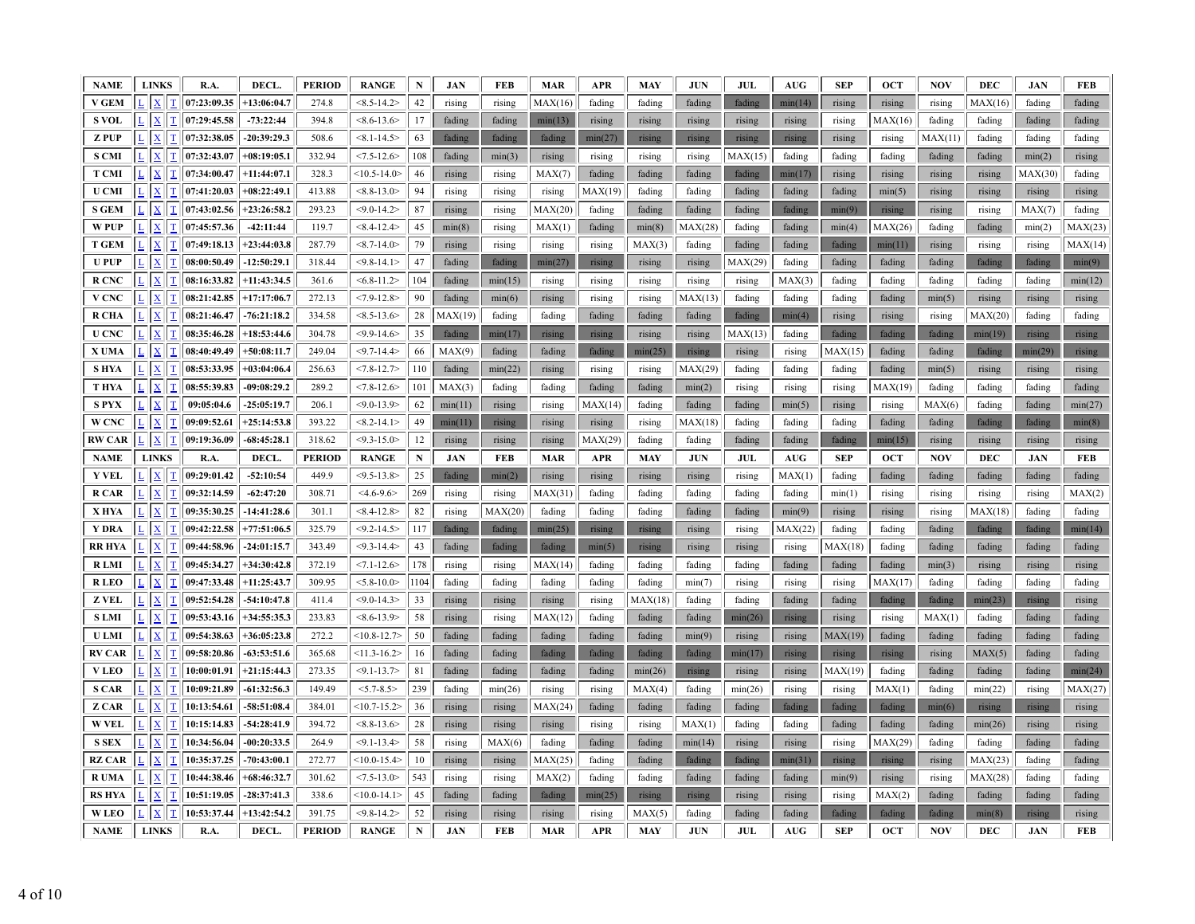| <b>NAME</b>   |                 | <b>LINKS</b>                            | R.A.        | DECL.         | <b>PERIOD</b> | <b>RANGE</b>    | N         | <b>JAN</b> | FEB        | <b>MAR</b> | <b>APR</b> | <b>MAY</b> | <b>JUN</b> | <b>JUL</b> | AUG                              | <b>SEP</b> | <b>OCT</b> | <b>NOV</b> | <b>DEC</b> | <b>JAN</b> | <b>FEB</b> |
|---------------|-----------------|-----------------------------------------|-------------|---------------|---------------|-----------------|-----------|------------|------------|------------|------------|------------|------------|------------|----------------------------------|------------|------------|------------|------------|------------|------------|
| <b>V GEM</b>  |                 | $\mathbf{x}$<br>T                       | 07:23:09.35 | $+13:06:04.7$ | 274.8         | $<8.5 - 14.2$   | 42        | rising     | rising     | MAX(16)    | fading     | fading     | fading     | fading     | min(14)                          | rising     | rising     | rising     | MAX(16)    | fading     | fading     |
| <b>S VOL</b>  |                 | $\mathbf T$<br>$\underline{\mathbf{X}}$ | 07:29:45.58 | $-73:22:44$   | 394.8         | $<8.6 - 13.6$   | 17        | fading     | fading     | min(13)    | rising     | rising     | rising     | rising     | rising                           | rising     | MAX(16)    | fading     | fading     | fading     | fading     |
| <b>ZPUP</b>   |                 | $\mathbf T$<br>X                        | 07:32:38.05 | $-20:39:29.3$ | 508.6         | $< 8.1 - 14.5$  | 63        | fading     | fading     | fading     | min(27)    | rising     | rising     | rising     | rising                           | rising     | rising     | MAX(11)    | fading     | fading     | fading     |
| <b>S CMI</b>  | L               | $\mathbf T$<br>$\mathbf X$              | 07:32:43.07 | $+08:19:05.1$ | 332.94        | $< 7.5 - 12.6$  | 108       | fading     | min(3)     | rising     | rising     | rising     | rising     | MAX(15)    | fading                           | fading     | fading     | fading     | fading     | min(2)     | rising     |
| <b>T CMI</b>  |                 | $\mathbf{T}$<br>$\mathbf{X}$            | 07:34:00.47 | $+11:44:07.1$ | 328.3         | $<10.5 - 14.0$  | 46        | rising     | rising     | MAX(7)     | fading     | fading     | fading     | fading     | min(17)                          | rising     | rising     | rising     | rising     | MAX(30)    | fading     |
| <b>U</b> CMI  |                 | T<br>$\mathbf{x}$                       | 07:41:20.03 | $+08:22:49.1$ | 413.88        | $< 8.8 - 13.0$  | 94        | rising     | rising     | rising     | MAX(19)    | fading     | fading     | fading     | fading                           | fading     | min(5)     | rising     | rising     | rising     | rising     |
| <b>S GEM</b>  |                 | $\mathbf T$<br>$\mathbf{x}$             | 07:43:02.56 | $+23:26:58.2$ | 293.23        | $<$ 9.0-14.2>   | 87        | rising     | rising     | MAX(20)    | fading     | fading     | fading     | fading     | fading                           | min(9)     | rising     | rising     | rising     | MAX(7)     | fading     |
| W PUP         | L               | $\mathbf T$<br>$\mathbf X$              | 07:45:57.36 | $-42:11:44$   | 119.7         | $< 8.4 - 12.4$  | 45        | min(8)     | rising     | MAX(1)     | fading     | min(8)     | MAX(28)    | fading     | fading                           | min(4)     | MAX(26)    | fading     | fading     | min(2)     | MAX(23)    |
| <b>T GEM</b>  |                 | $\mathbf T$<br>$\mathbf{x}$             | 07:49:18.13 | $+23:44:03.8$ | 287.79        | $<8.7 - 14.0$   | 79        | rising     | rising     | rising     | rising     | MAX(3)     | fading     | fading     | fading                           | fading     | min(11)    | rising     | rising     | rising     | MAX(14)    |
| <b>UPUP</b>   |                 | T                                       | 08:00:50.49 | $-12:50:29.1$ | 318.44        | $<$ 9.8-14.1>   | $47\,$    | fading     | fading     | min(27)    | rising     | rising     | rising     | MAX(29)    | fading                           | fading     | fading     | fading     | fading     | fading     | min(9)     |
| R CNC         |                 | $\mathbf T$<br>$\mathbf{x}$             | 08:16:33.82 | $+11:43:34.5$ | 361.6         | $< 6.8 - 11.2$  | 104       | fading     | min(15)    | rising     | rising     | rising     | rising     | rising     | MAX(3)                           | fading     | fading     | fading     | fading     | fading     | min(12)    |
| V CNC         |                 | $\overline{\mathbf{X}}$<br>T            | 08:21:42.85 | $+17:17:06.7$ | 272.13        | $< 7.9 - 12.8$  | 90        | fading     | min(6)     | rising     | rising     | rising     | MAX(13)    | fading     | fading                           | fading     | fading     | min(5)     | rising     | rising     | rising     |
| <b>R CHA</b>  |                 | T<br>$\mathbf{x}$                       | 08:21:46.47 | $-76:21:18.2$ | 334.58        | $<8.5-13.6>$    | 28        | MAX(19)    | fading     | fading     | fading     | fading     | fading     | fading     | min(4)                           | rising     | rising     | rising     | MAX(20)    | fading     | fading     |
| <b>U CNC</b>  |                 | T                                       | 08:35:46.28 | $+18:53:44.6$ | 304.78        | $<$ 9.9-14.6>   | 35        | fading     | min(17)    | rising     | rising     | rising     | rising     | MAX(13)    | fading                           | fading     | fading     | fading     | min(19)    | rising     | rising     |
| X UMA         |                 | $\mathbf T$<br>$\mathbf{x}$             | 08:40:49.49 | $+50:08:11.7$ | 249.04        | $<$ 9.7-14.4>   | 66        | MAX(9)     | fading     | fading     | fading     | min(25)    | rising     | rising     | rising                           | MAX(15)    | fading     | fading     | fading     | min(29)    | rising     |
| <b>SHYA</b>   | L               | $\mathbf{x}$<br>$\mathbf T$             | 08:53:33.95 | $+03:04:06.4$ | 256.63        | $<7.8 - 12.7$   | 110       | fading     | min(22)    | rising     | rising     | rising     | MAX(29)    | fading     | fading                           | fading     | fading     | min(5)     | rising     | rising     | rising     |
| <b>T HYA</b>  |                 | T<br>$\bf{X}$                           | 08:55:39.83 | $-09:08:29.2$ | 289.2         | $< 7.8 - 12.6$  | 101       | MAX(3)     | fading     | fading     | fading     | fading     | min(2)     | rising     | rising                           | rising     | MAX(19)    | fading     | fading     | fading     | fading     |
| <b>SPYX</b>   |                 | T<br>$\overline{\mathrm{X}}$            | 09:05:04.6  | $-25:05:19.7$ | 206.1         | $< 9.0 - 13.9$  | 62        | min(11)    | rising     | rising     | MAX(14)    | fading     | fading     | fading     | min(5)                           | rising     | rising     | MAX(6)     | fading     | fading     | min(27)    |
| W CNC         |                 | $\mathbf T$<br>X                        | 09:09:52.61 | $+25:14:53.8$ | 393.22        | $<8.2 - 14.1>$  | 49        | min(11)    | rising     | rising     | rising     | rising     | MAX(18)    | fading     | fading                           | fading     | fading     | fading     | fading     | fading     | min(8)     |
| <b>RW CAR</b> |                 | $\mathbf T$<br>$\mathbf{X}$             | 09:19:36.09 | $-68:45:28.1$ | 318.62        | $<$ 9.3-15.0>   | 12        | rising     | rising     | rising     | MAX(29)    | fading     | fading     | fading     | fading                           | fading     | min(15)    | rising     | rising     | rising     | rising     |
| <b>NAME</b>   |                 | <b>LINKS</b>                            | R.A.        | DECL.         | <b>PERIOD</b> | <b>RANGE</b>    | ${\bf N}$ | <b>JAN</b> | <b>FEB</b> | <b>MAR</b> | <b>APR</b> | <b>MAY</b> | <b>JUN</b> | <b>JUL</b> | $\mathbf{A}\mathbf{U}\mathbf{G}$ | <b>SEP</b> | <b>OCT</b> | <b>NOV</b> | <b>DEC</b> | <b>JAN</b> | <b>FEB</b> |
| <b>Y VEL</b>  |                 | $\overline{\mathbf{X}}$<br>$\mathbf T$  | 09:29:01.42 | $-52:10:54$   | 449.9         | $<$ 9.5-13.8>   | 25        | fading     | min(2)     | rising     | rising     | rising     | rising     | rising     | MAX(1)                           | fading     | fading     | fading     | fading     | fading     | fading     |
| <b>R CAR</b>  | $\overline{L}$  | $\underline{\mathbf{X}}$<br>$\mathbf T$ | 09:32:14.59 | $-62:47:20$   | 308.71        | $4.6 - 9.6$     | 269       | rising     | rising     | MAX(31)    | fading     | fading     | fading     | fading     | fading                           | min(1)     | rising     | rising     | rising     | rising     | MAX(2)     |
| X HYA         | $L_{\parallel}$ | $\mathbf{X}$<br>$\mathbf T$             | 09:35:30.25 | $-14:41:28.6$ | 301.1         | $< 8.4 - 12.8$  | 82        | rising     | MAX(20)    | fading     | fading     | fading     | fading     | fading     | min(9)                           | rising     | rising     | rising     | MAX(18)    | fading     | fading     |
| Y DRA         |                 | T<br>$\mathbf{x}$                       | 09:42:22.58 | $+77:51:06.5$ | 325.79        | $<$ 9.2-14.5>   | 117       | fading     | fading     | min(25)    | rising     | rising     | rising     | rising     | MAX(22)                          | fading     | fading     | fading     | fading     | fading     | min(14)    |
| RR HYA        |                 | T                                       | 09:44:58.96 | $-24:01:15.7$ | 343.49        | $<$ 9.3-14.4>   | 43        | fading     | fading     | fading     | min(5)     | rising     | rising     | rising     | rising                           | MAX(18)    | fading     | fading     | fading     | fading     | fading     |
| <b>RLMI</b>   | L               | $\mathbf T$<br>$\underline{\mathbf{X}}$ | 09:45:34.27 | $+34:30:42.8$ | 372.19        | $< 7.1 - 12.6$  | 178       | rising     | rising     | MAX(14)    | fading     | fading     | fading     | fading     | fading                           | fading     | fading     | min(3)     | rising     | rising     | rising     |
| <b>RLEO</b>   |                 | $\underline{\mathbf{X}}$<br>$\mathbf T$ | 09:47:33.48 | $+11:25:43.7$ | 309.95        | $< 5.8 - 10.0$  | 1104      | fading     | fading     | fading     | fading     | fading     | min(7)     | rising     | rising                           | rising     | MAX(17)    | fading     | fading     | fading     | fading     |
| Z VEL         |                 | $\underline{\mathbf{X}}$<br>$\mathbf T$ | 09:52:54.28 | $-54:10:47.8$ | 411.4         | $<$ 9.0-14.3>   | 33        | rising     | rising     | rising     | rising     | MAX(18)    | fading     | fading     | fading                           | fading     | fading     | fading     | min(23)    | rising     | rising     |
| <b>SLMI</b>   |                 | T<br>$\underline{\mathbf{X}}$           | 09:53:43.16 | $+34:55:35.3$ | 233.83        | $<8.6 - 13.9$   | 58        | rising     | rising     | MAX(12)    | fading     | fading     | fading     | min(26)    | rising                           | rising     | rising     | MAX(1)     | fading     | fading     | fading     |
| <b>U LMI</b>  | $\mathbf{L}$    | $\mathbf X$<br>$\mathbf T$              | 09:54:38.63 | $+36:05:23.8$ | 272.2         | $<10.8 - 12.7$  | 50        | fading     | fading     | fading     | fading     | fading     | min(9)     | rising     | rising                           | MAX(19)    | fading     | fading     | fading     | fading     | fading     |
| <b>RV CAR</b> |                 | $\mathbf{x}$<br>T                       | 09:58:20.86 | $-63:53:51.6$ | 365.68        | $<11.3 - 16.2>$ | 16        | fading     | fading     | fading     | fading     | fading     | fading     | min(17)    | rising                           | rising     | rising     | rising     | MAX(5)     | fading     | fading     |
| <b>VLEO</b>   |                 | $\mathbf{x}$<br>T                       | 10:00:01.91 | $+21:15:44.3$ | 273.35        | $< 9.1 - 13.7$  | 81        | fading     | fading     | fading     | fading     | min(26)    | rising     | rising     | rising                           | MAX(19)    | fading     | fading     | fading     | fading     | min(24)    |
| <b>S CAR</b>  |                 | $\mathbf T$<br>X                        | 10:09:21.89 | $-61:32:56.3$ | 149.49        | $< 5.7 - 8.5$   | 239       | fading     | min(26)    | rising     | rising     | MAX(4)     | fading     | min(26)    | rising                           | rising     | MAX(1)     | fading     | min(22)    | rising     | MAX(27)    |
| Z CAR         |                 | T<br>$\mathbf{x}$                       | 10:13:54.61 | $-58:51:08.4$ | 384.01        | $<10.7 - 15.2>$ | 36        | rising     | rising     | MAX(24)    | fading     | fading     | fading     | fading     | fading                           | fading     | fading     | min(6)     | rising     | rising     | rising     |
| <b>W VEL</b>  |                 | T<br>$\mathbf{x}$                       | 10:15:14.83 | $-54:28:41.9$ | 394.72        | $<8.8 - 13.6$   | 28        | rising     | rising     | rising     | rising     | rising     | MAX(1)     | fading     | fading                           | fading     | fading     | fading     | min(26)    | rising     | rising     |
| <b>S SEX</b>  |                 | T<br>X                                  | 10:34:56.04 | $-00:20:33.5$ | 264.9         | $< 9.1 - 13.4$  | 58        | rising     | MAX(6)     | fading     | fading     | fading     | min(14)    | rising     | rising                           | rising     | MAX(29)    | fading     | fading     | fading     | fading     |
| <b>RZ CAR</b> |                 | T<br>$\mathbf{x}$                       | 10:35:37.25 | $-70:43:00.1$ | 272.77        | $<10.0 - 15.4>$ | 10        | rising     | rising     | MAX(25)    | fading     | fading     | fading     | fading     | min(31)                          | rising     | rising     | rising     | MAX(23)    | fading     | fading     |
| R UMA         |                 | $\mathbf T$<br>$\mathbf X$              | 10:44:38.46 | $+68:46:32.7$ | 301.62        | $< 7.5 - 13.0$  | 543       | rising     | rising     | MAX(2)     | fading     | fading     | fading     | fading     | fading                           | min(9)     | rising     | rising     | MAX(28)    | fading     | fading     |
| <b>RS HYA</b> |                 | T<br>$\mathbf{x}$                       | 10:51:19.05 | $-28:37:41.3$ | 338.6         | $<10.0 - 14.1>$ | 45        | fading     | fading     | fading     | min(25)    | rising     | rising     | rising     | rising                           | rising     | MAX(2)     | fading     | fading     | fading     | fading     |
| <b>WLEO</b>   |                 | T<br>$\mathbf{x}$                       | 10:53:37.44 | $+13:42:54.2$ | 391.75        | $<$ 9.8-14.2>   | 52        | rising     | rising     | rising     | rising     | MAX(5)     | fading     | fading     | fading                           | fading     | fading     | fading     | min(8)     | rising     | rising     |
| <b>NAME</b>   |                 | <b>LINKS</b>                            | R.A.        | DECL.         | <b>PERIOD</b> | <b>RANGE</b>    | ${\bf N}$ | <b>JAN</b> | <b>FEB</b> | <b>MAR</b> | <b>APR</b> | <b>MAY</b> | <b>JUN</b> | JUL        | $\mathbf{A}\mathbf{U}\mathbf{G}$ | <b>SEP</b> | <b>OCT</b> | <b>NOV</b> | <b>DEC</b> | <b>JAN</b> | <b>FEB</b> |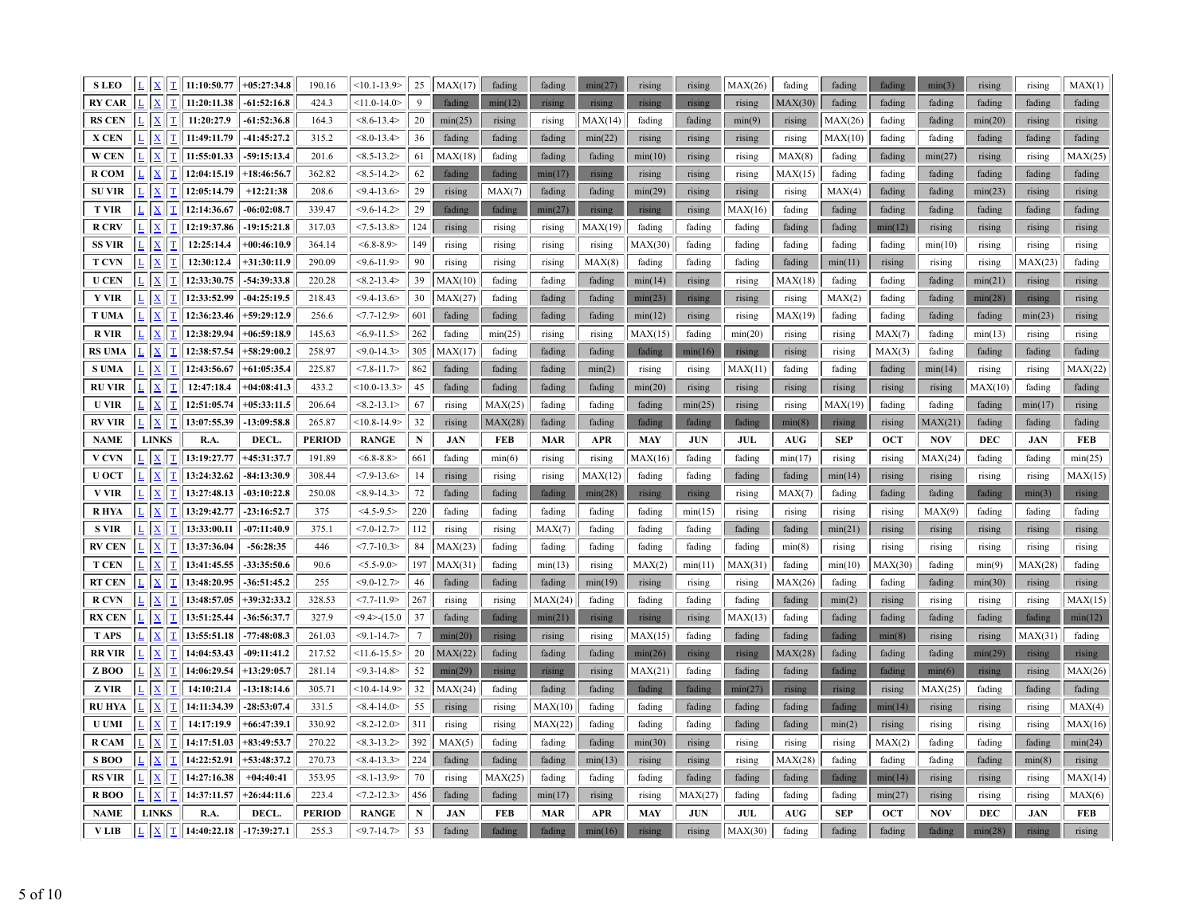| <b>SLEO</b>          | $L \mid X$<br>$\mathbf{T}$                   | 11:10:50.77         | $+05:27:34.8$          | 190.16                 | $<10.1 - 13.9$                | 25              | MAX(17)              | fading        | fading               | min(27)               | rising               | rising               | MAX(26)        | fading               | fading               | fading               | min(3)               | rising         | rising               | MAX(1)        |
|----------------------|----------------------------------------------|---------------------|------------------------|------------------------|-------------------------------|-----------------|----------------------|---------------|----------------------|-----------------------|----------------------|----------------------|----------------|----------------------|----------------------|----------------------|----------------------|----------------|----------------------|---------------|
| <b>RY CAR</b>        | $\mathbf{X}$<br>$\mathbf T$                  | 11:20:11.38         | $-61:52:16.8$          | 424.3                  | $<11.0 - 14.0>$               | $\mathbf{Q}$    | fading               | min(12)       | rising               | rising                | rising               | rising               | rising         | MAX(30)              | fading               | fading               | fading               | fading         | fading               | fading        |
| <b>RS CEN</b>        | $\mathbf{x}$<br>$\mathbf T$                  | 11:20:27.9          | $-61:52:36.8$          | 164.3                  | $< 8.6 - 13.4$                | 20              | min(25)              | rising        | rising               | MAX(14)               | fading               | fading               | min(9)         | rising               | MAX(26)              | fading               | fading               | min(20)        | rising               | rising        |
| X CEN                | $ \mathbf{x} $<br>ΙT                         | 11:49:11.79         | $-41:45:27.2$          | 315.2                  | $< 8.0 - 13.4$                | 36              | fading               | fading        | fading               | min(22)               | rising               | rising               | rising         | rising               | MAX(10)              | fading               | fading               | fading         | fading               | fading        |
| W CEN                | $ \mathbf{x} $<br>$\mathbf T$                | 11:55:01.33         | $-59:15:13.4$          | 201.6                  | $<8.5-13.2>$                  | 61              | MAX(18)              | fading        | fading               | fading                | min(10)              | rising               | rising         | MAX(8)               | fading               | fading               | min(27)              | rising         | rising               | MAX(25)       |
| <b>RCOM</b>          | $\mathbf{X}$<br>$\mathbf I$                  | 12:04:15.19         | $+18:46:56.7$          | 362.82                 | $<8.5 - 14.2$                 | 62              | fading               | fading        | min(17)              | rising                | rising               | rising               | rising         | MAX(15)              | fading               | fading               | fading               | fading         | fading               | fading        |
| <b>SU VIR</b>        | $ \mathbf{x} $<br> T                         | 12:05:14.79         | $+12:21:38$            | 208.6                  | $<$ 9.4-13.6>                 | 29              | rising               | MAX(7)        | fading               | fading                | min(29)              | rising               | rising         | rising               | MAX(4)               | fading               | fading               | min(23)        | rising               | rising        |
| <b>T VIR</b>         | $\mathbf{X}$<br>$\mathbf T$                  | 12:14:36.67         | $-06:02:08.7$          | 339.47                 | $<$ 9.6-14.2>                 | 29              | fading               | fading        | min(27)              | rising                | rising               | rising               | MAX(16)        | fading               | fading               | fading               | fading               | fading         | fading               | fading        |
| <b>R CRV</b>         | $\mathbf{x}$<br>T                            | 12:19:37.86         | $-19:15:21.8$          | 317.03                 | $< 7.5 - 13.8 >$              | 124             | rising               | rising        | rising               | MAX(19)               | fading               | fading               | fading         | fading               | fading               | min(12)              | rising               | rising         | rising               | rising        |
| <b>SS VIR</b>        | $\mathbf{x}$<br>$\mathbf T$                  | 12:25:14.4          | $+00:46:10.9$          | 364.14                 | $<6.8-8.9>$                   | 149             | rising               | rising        | rising               | rising                | MAX(30)              | fading               | fading         | fading               | fading               | fading               | min(10)              | rising         | rising               | rising        |
| <b>T CVN</b>         | $\mathbf{X}$<br>$\mathbf I$                  | 12:30:12.4          | $+31:30:11.9$          | 290.09                 | $<$ 9.6-11.9>                 | 90              | rising               | rising        | rising               | MAX(8)                | fading               | fading               | fading         | fading               | min(11)              | rising               | rising               | rising         | MAX(23)              | fading        |
| <b>U CEN</b>         | $\mathbf{X}$<br>T                            | 12:33:30.75         | -54:39:33.8            | 220.28                 | $<8.2 - 13.4$                 | 39              | MAX(10)              | fading        | fading               | fading                | min(14)              | rising               | rising         | MAX(18)              | fading               | fading               | fading               | min(21)        | rising               | rising        |
| <b>Y VIR</b>         | $\mathbf{X}$<br>$\mathbf I$                  | 12:33:52.99         | $-04:25:19.5$          | 218.43                 | $<$ 9.4-13.6>                 | 30              | MAX(27)              | fading        | fading               | fading                | min(23)              | rising               | rising         | rising               | MAX(2)               | fading               | fading               | min(28)        | rising               | rising        |
| <b>T UMA</b>         | $\vert x \vert$<br>$\mathbf I$               | 12:36:23.46         | +59:29:12.9            | 256.6                  | $<7.7 - 12.9$                 | 601             | fading               | fading        | fading               | fading                | min(12)              | rising               | rising         | MAX(19)              | fading               | fading               | fading               | fading         | min(23)              | rising        |
| <b>RVIR</b>          | $\mathbf{x}$<br>$\mathbf T$                  | 12:38:29.94         | $+06:59:18.9$          | 145.63                 | $< 6.9 - 11.5$                | 262             | fading               | min(25)       | rising               | rising                | MAX(15)              | fading               | min(20)        | rising               | rising               | MAX(7)               | fading               | min(13)        | rising               | rising        |
| <b>RS UMA</b>        | $ \mathbf{X} $<br>$\mathbf T$                | 12:38:57.54         | $+58:29:00.2$          | 258.97                 | $< 9.0 - 14.3$                | 305             | MAX(17)              | fading        | fading               | fading                | fading               | min(16)              | rising         | rising               | rising               | MAX(3)               | fading               | fading         | fading               | fading        |
| <b>S UMA</b>         | $\vert x \vert$<br>$\mathbf T$               | 12:43:56.67         | $+61:05:35.4$          | 225.87                 | $<7.8 - 11.7$                 | 862             | fading               | fading        | fading               | min(2)                | rising               | rising               | MAX(11)        | fading               | fading               | fading               | min(14)              | rising         | rising               | MAX(22)       |
| <b>RU VIR</b>        | $\mathbf{x}$<br>T                            | 12:47:18.4          | $+04:08:41.3$          | 433.2                  | $<10.0 - 13.3>$               | 45              | fading               | fading        | fading               | fading                | min(20)              | rising               | rising         | rising               | rising               | rising               | rising               | MAX(10)        | fading               | fading        |
| <b>U VIR</b>         | $\mathbf{X}$<br>$\mathbf I$                  | 12:51:05.74         | $+05:33:11.5$          | 206.64                 | $< 8.2 - 13.1$                | 67              | rising               | MAX(25)       | fading               | fading                | fading               | min(25)              | rising         | rising               | MAX(19)              | fading               | fading               | fading         | min(17)              | rising        |
| <b>RV VIR</b>        | $\mathbf{x}$<br>T                            | 13:07:55.39         | $-13:09:58.8$          | 265.87                 | $<10.8 - 14.9$                | 32              | rising               | MAX(28)       | fading               | fading                | fading               | fading               | fading         | min(8)               | rising               | rising               | MAX(21)              | fading         | fading               | fading        |
| <b>NAME</b>          | <b>LINKS</b>                                 | R.A.                | DECL.                  | <b>PERIOD</b>          | <b>RANGE</b>                  | $\mathbf N$     | <b>JAN</b>           | FEB           | <b>MAR</b>           | <b>APR</b>            | <b>MAY</b>           | <b>JUN</b>           | <b>JUL</b>     | <b>AUG</b>           | <b>SEP</b>           | <b>OCT</b>           | <b>NOV</b>           | DEC            | <b>JAN</b>           | <b>FEB</b>    |
| <b>V CVN</b>         | $\mathbf{x}$<br>ΙT                           | 13:19:27.77         | +45:31:37.7            | 191.89                 | $<\,6.8 - 8.8$                | 661             | fading               | min(6)        | rising               | rising                | MAX(16)              | fading               | fading         | min(17)              | rising               | rising               | MAX(24)              | fading         | fading               | min(25)       |
|                      |                                              |                     |                        |                        |                               |                 |                      |               |                      |                       |                      |                      |                |                      |                      |                      |                      |                |                      |               |
| <b>U OCT</b>         | $\mathbf{X}$<br>T                            | 13:24:32.62         | $-84:13:30.9$          | 308.44                 | $< 7.9 - 13.6$                | 14              | rising               | rising        | rising               | MAX(12)               | fading               | fading               | fading         | fading               | min(14)              | rising               | rising               | rising         | rising               | MAX(15)       |
| <b>V VIR</b>         | $\sqrt{\frac{1}{2}}$<br>$\mathbf{T}$         | 13:27:48.13         | $-03:10:22.8$          | 250.08                 | $<8.9 - 14.3>$                | 72              | fading               | fading        | fading               | min(28)               | rising               | rising               | rising         | MAX(7)               | fading               | fading               | fading               | fading         | min(3)               | rising        |
| <b>RHYA</b>          | $\mathbf{X}$<br>$\mathbf{T}$                 | 13:29:42.77         | $-23:16:52.7$          | 375                    | $<4.5-9.5>$                   | 220             | fading               | fading        | fading               | fading                | fading               | min(15)              | rising         | rising               | rising               | rising               | MAX(9)               | fading         | fading               | fading        |
| <b>S VIR</b>         | $\mathbf{X}$<br>T                            | 13:33:00.11         | $-07:11:40.9$          | 375.1                  | $<7.0 - 12.7$                 | 112             | rising               | rising        | MAX(7)               | fading                | fading               | fading               | fading         | fading               | min(21)              | rising               | rising               | rising         | rising               | rising        |
| <b>RV CEN</b>        | $\mathbf{x}$<br>$\mathbf T$                  | 13:37:36.04         | $-56:28:35$            | 446                    | $<7.7 - 10.3$                 | 84              | MAX(23)              | fading        | fading               | fading                | fading               | fading               | fading         | min(8)               | rising               | rising               | rising               | rising         | rising               | rising        |
| <b>T CEN</b>         | $ \mathbf{x} $<br>ΙI                         | 13:41:45.55         | -33:35:50.6            | 90.6                   | $< 5.5 - 9.0$                 | 197             | MAX(31)              | fading        | min(13)              | rising                | MAX(2)               | min(11)              | MAX(31)        | fading               | min(10)              | MAX(30)              | fading               | min(9)         | MAX(28)              | fading        |
| <b>RT CEN</b>        | $\mathbf{X}$<br>$\mathbf T$                  | 13:48:20.95         | $-36:51:45.2$          | 255                    | $< 9.0 - 12.7$                | 46              | fading               | fading        | fading               | min(19)               | rising               | rising               | rising         | MAX(26)              | fading               | fading               | fading               | min(30)        | rising               | rising        |
| <b>R CVN</b>         | $ \mathbf{X} $<br>$\mathbf T$                | 13:48:57.05         | $+39:32:33.2$          | 328.53                 | $<7.7 - 11.9$                 | 267             | rising               | rising        | MAX(24)              | fading                | fading               | fading               | fading         | fading               | min(2)               | rising               | rising               | rising         | rising               | MAX(15)       |
| <b>RX CEN</b>        | $\vert x \vert$<br> T                        | 13:51:25.44         | -36:56:37.7            | 327.9                  | $<$ 9.4 $>$ -(15.0            | 37              | fading               | fading        | min(21)              | rising                | rising               | rising               | MAX(13)        | fading               | fading               | fading               | fading               | fading         | fading               | min(12)       |
| <b>TAPS</b>          | $\mathbf{X}$<br>$ \mathbf{T} $               | 13:55:51.18         | $-77:48:08.3$          | 261.03                 | $< 9.1 - 14.7$                | $7\phantom{.0}$ | min(20)              | rising        | rising               | rising                | MAX(15)              | fading               | fading         | fading               | fading               | min(8)               | rising               | rising         | MAX(31)              | fading        |
| <b>RR VIR</b>        | $\mathbf{X}$<br>$\mathbf T$                  | 14:04:53.43         | $-09:11:41.2$          | 217.52                 | $<11.6 - 15.5>$               | 20              | MAX(22)              | fading        | fading               | fading                | min(26)              | rising               | rising         | MAX(28)              | fading               | fading               | fading               | min(29)        | rising               | rising        |
| ZBOO                 | $\mathbf{X}$<br>$\mathbf I$                  | 14:06:29.54         | $+13:29:05.7$          | 281.14                 | $<$ 9.3-14.8>                 | 52              | min(29)              | rising        | rising               | rising                | MAX(21)              | fading               | fading         | fading               | fading               | fading               | min(6)               | rising         | rising               | MAX(26)       |
| <b>Z</b> VIR         | $ \mathbf{x} $<br>T                          | 14:10:21.4          | $-13:18:14.6$          | 305.71                 | $<10.4 - 14.9$                | 32              | MAX(24)              | fading        | fading               | fading                | fading               | fading               | min(27)        | rising               | rising               | rising               | MAX(25)              | fading         | fading               | fading        |
| <b>RU HYA</b>        | $\mathbf{x}$<br>$\mathbf{T}$                 | 14:11:34.39         | $-28:53:07.4$          | 331.5                  | $< 8.4 - 14.0$                | 55              | rising               | rising        | MAX(10)              | fading                | fading               | fading               | fading         | fading               | fading               | min(14)              | rising               | rising         | rising               | MAX(4)        |
| <b>U UMI</b>         | $\mathbf{X}$<br>$\mathbf T$                  | 14:17:19.9          | $+66:47:39.1$          | 330.92                 | $<8.2 - 12.0$                 | 311             | rising               | rising        | MAX(22)              | fading                | fading               | fading               | fading         | fading               | min(2)               | rising               | rising               | rising         | rising               | MAX(16)       |
| R CAM                | $\mathbf{x}$<br>$\mathbf{T}$                 | 14:17:51.03         | $+83:49:53.7$          | 270.22                 | $<8.3 - 13.2$                 | 392             | MAX(5)               | fading        | fading               | fading                | min(30)              | rising               | rising         | rising               | rising               | MAX(2)               | fading               | fading         | fading               | min(24)       |
| S BOO                | $\sqrt{\mathbf{x}}$<br>$\mathbb{T}$          | 14:22:52.91         | $+53:48:37.2$          | 270.73                 | $< 8.4 - 13.3$                | 224             | fading               | fading        | fading               | min(13)               | rising               | rising               | rising         | MAX(28)              | fading               | fading               | fading               | fading         | min(8)               | rising        |
| <b>RS VIR</b>        | $\mathbf{X}$<br><b>T</b>                     | 14:27:16.38         | $+04:40:41$            | 353.95                 | $< 8.1 - 13.9$                | 70              | rising               | MAX(25)       | fading               | fading                | fading               | fading               | fading         | fading               | fading               | min(14)              | rising               | rising         | rising               | MAX(14)       |
| R BOO                | $\mathbf{X}$<br>T                            | 14:37:11.57         | $+26:44:11.6$          | 223.4                  | $< 7.2 - 12.3$                | 456             | fading               | fading        | min(17)              | rising                | rising               | MAX(27)              | fading         | fading               | fading               | min(27)              | rising               | rising         | rising               | MAX(6)        |
| <b>NAME</b><br>V LIB | <b>LINKS</b><br>$\mathbf{X}$<br>$\mathbf{T}$ | R.A.<br>14:40:22.18 | DECL.<br>$-17:39:27.1$ | <b>PERIOD</b><br>255.3 | <b>RANGE</b><br>$<$ 9.7-14.7> | N<br>53         | <b>JAN</b><br>fading | FEB<br>fading | <b>MAR</b><br>fading | <b>APR</b><br>min(16) | <b>MAY</b><br>rising | <b>JUN</b><br>rising | JUL<br>MAX(30) | <b>AUG</b><br>fading | <b>SEP</b><br>fading | <b>OCT</b><br>fading | <b>NOV</b><br>fading | DEC<br>min(28) | <b>JAN</b><br>rising | FEB<br>rising |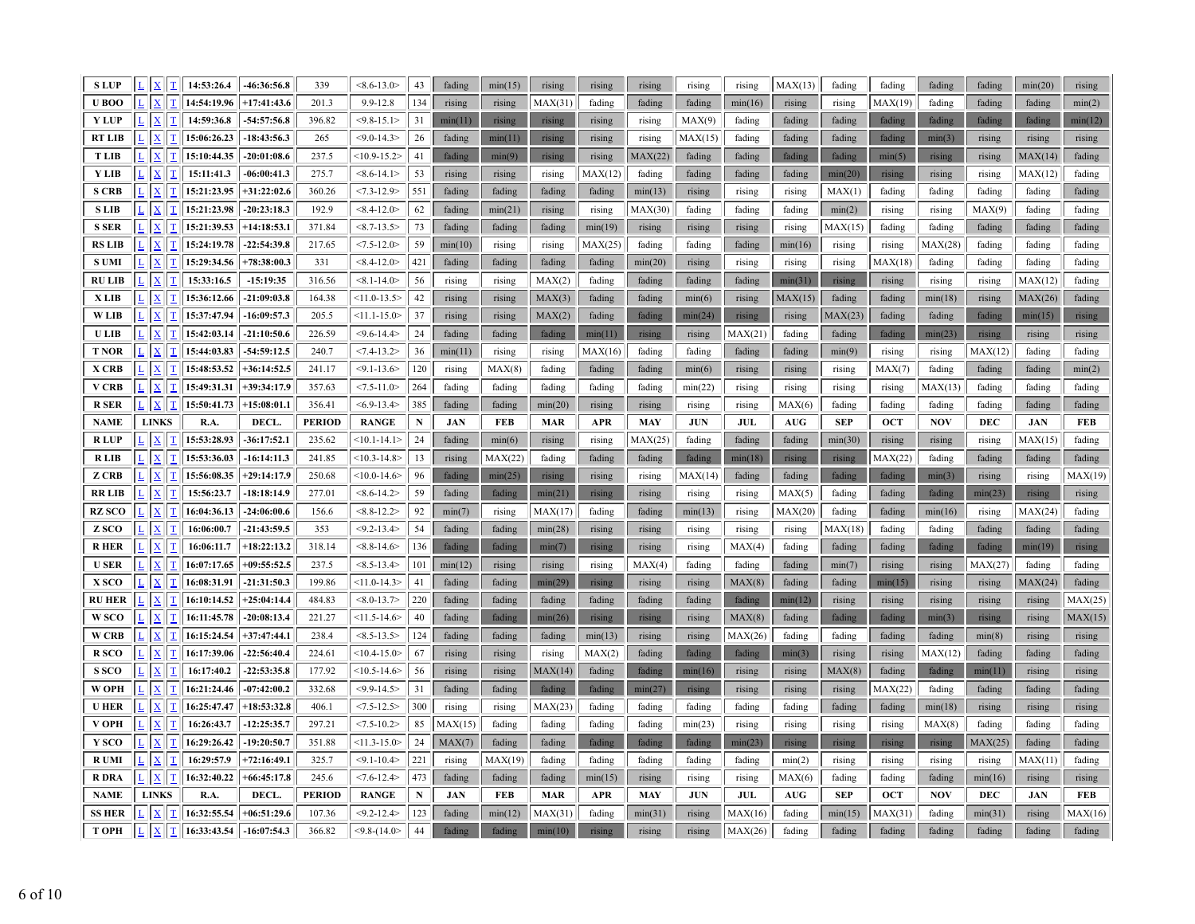| <b>SLUP</b>            | L                       | T<br>$\underline{\mathbf{X}}$                                           | 14:53:26.4                 | $-46:36:56.8$                  | 339              | $< 8.6 - 13.0$                     | 43        | fading           | min(15)           | rising             | rising           | rising            | rising           | rising             | MAX(13)                          | fading            | fading            | fading           | fading            | min(20)          | rising            |
|------------------------|-------------------------|-------------------------------------------------------------------------|----------------------------|--------------------------------|------------------|------------------------------------|-----------|------------------|-------------------|--------------------|------------------|-------------------|------------------|--------------------|----------------------------------|-------------------|-------------------|------------------|-------------------|------------------|-------------------|
| U BOO                  |                         | $\overline{\mathbf{X}}$<br>T                                            | 14:54:19.96                | $+17:41:43.6$                  | 201.3            | $9.9 - 12.8$                       | 134       | rising           | rising            | MAX(31)            | fading           | fading            | fading           | min(16)            | rising                           | rising            | MAX(19)           | fading           | fading            | fading           | min(2)            |
| <b>Y LUP</b>           |                         | $\overline{\text{X}}$                                                   | 14:59:36.8                 | $-54:57:56.8$                  | 396.82           | $<$ 9.8-15.1>                      | 31        | min(11)          | rising            | rising             | rising           | rising            | MAX(9)           | fading             | fading                           | fading            | fading            | fading           | fading            | fading           | min(12)           |
| <b>RT LIB</b>          |                         | $\mathbf T$<br>X                                                        | 15:06:26.23                | $-18:43:56.3$                  | 265              | $<$ 9.0-14.3>                      | 26        | fading           | min(11)           | rising             | rising           | rising            | MAX(15)          | fading             | fading                           | fading            | fading            | min(3)           | rising            | rising           | rising            |
| <b>TLIB</b>            | L                       | $\overline{\mathbf{T}}$<br>$\mathbf X$                                  | 15:10:44.35                | $-20:01:08.6$                  | 237.5            | $<10.9 - 15.2>$                    | 41        | fading           | min(9)            | rising             | rising           | MAX(22)           | fading           | fading             | fading                           | fading            | min(5)            | rising           | rising            | MAX(14)          | fading            |
| Y LIB                  | L                       | $\mathbf T$<br>$\mathbf{x}$                                             | 15:11:41.3                 | $-06:00:41.3$                  | 275.7            | $<8.6 - 14.1>$                     | 53        | rising           | rising            | rising             | MAX(12)          | fading            | fading           | fading             | fading                           | min(20)           | rising            | rising           | rising            | MAX(12)          | fading            |
| <b>S CRB</b>           |                         | T<br>$\bf{X}$                                                           | 15:21:23.95                | $+31:22:02.6$                  | 360.26           | $< 7.3 - 12.9$                     | 551       | fading           | fading            | fading             | fading           | min(13)           | rising           | rising             | rising                           | MAX(1)            | fading            | fading           | fading            | fading           | fading            |
| <b>SLIB</b>            | $\overline{\mathsf{L}}$ | $\overline{\mathbf{T}}$<br>$\mathbf{x}$                                 | 15:21:23.98                | $-20:23:18.3$                  | 192.9            | $< 8.4 - 12.0$                     | 62        | fading           | min(21)           | rising             | rising           | MAX(30)           | fading           | fading             | fading                           | min(2)            | rising            | rising           | MAX(9)            | fading           | fading            |
| S SER                  | L                       | $\mathbf T$<br>$\mathbf X$                                              | 15:21:39.53                | $+14:18:53.1$                  | 371.84           | $< 8.7 - 13.5$                     | 73        | fading           | fading            | fading             | min(19)          | rising            | rising           | rising             | rising                           | MAX(15)           | fading            | fading           | fading            | fading           | fading            |
| <b>RS LIB</b>          |                         | $\mathbf T$<br>$\mathbf{x}$                                             | 15:24:19.78                | $-22:54:39.8$                  | 217.65           | $<7.5 - 12.0$                      | 59        | min(10)          | rising            | rising             | MAX(25)          | fading            | fading           | fading             | min(16)                          | rising            | rising            | MAX(28)          | fading            | fading           | fading            |
| <b>S UMI</b>           |                         | T                                                                       | 15:29:34.56                | $+78:38:00.3$                  | 331              | $< 8.4 - 12.0$                     | 421       | fading           | fading            | fading             | fading           | min(20)           | rising           | rising             | rising                           | rising            | MAX(18)           | fading           | fading            | fading           | fading            |
| <b>RU LIB</b>          |                         | $\mathbf T$<br>X                                                        | 15:33:16.5                 | $-15:19:35$                    | 316.56           | $< 8.1 - 14.0$                     | 56        | rising           | rising            | MAX(2)             | fading           | fading            | fading           | fading             | min(31)                          | rising            | rising            | rising           | rising            | MAX(12)          | fading            |
| X LIB                  |                         | T<br>$\overline{\mathrm{X}}$                                            | 15:36:12.66                | $-21:09:03.8$                  | 164.38           | $<11.0 - 13.5>$                    | 42        | rising           | rising            | MAX(3)             | fading           | fading            | min(6)           | rising             | MAX(15)                          | fading            | fading            | min(18)          | rising            | MAX(26)          | fading            |
| <b>WLIB</b>            |                         | T<br>$\mathbf{x}$                                                       | 15:37:47.94                | $-16:09:57.3$                  | 205.5            | $<11.1 - 15.0$                     | 37        | rising           | rising            | MAX(2)             | fading           | fading            | min(24)          | rising             | rising                           | MAX(23)           | fading            | fading           | fading            | min(15)          | rising            |
| <b>ULIB</b>            |                         | T                                                                       | 15:42:03.14                | $-21:10:50.6$                  | 226.59           | $<$ 9.6-14.4>                      | 24        | fading           | fading            | fading             | min(11)          | rising            | rising           | MAX(21             | fading                           | fading            | fading            | min(23)          | rising            | rising           | rising            |
| <b>T NOR</b>           |                         | $\overline{\mathbf{T}}$<br>$\underline{\mathbf{X}}$                     | 15:44:03.83                | $-54:59:12.5$                  | 240.7            | $< 7.4 - 13.2$                     | 36        | min(11)          | rising            | rising             | MAX(16)          | fading            | fading           | fading             | fading                           | min(9)            | rising            | rising           | MAX(12)           | fading           | fading            |
| X CRB                  |                         | $\mathbf T$<br>$\mathbf{x}$                                             | 15:48:53.52                | $+36:14:52.5$                  | 241.17           | $< 9.1 - 13.6$                     | 120       | rising           | MAX(8)            | fading             | fading           | fading            | min(6)           | rising             | rising                           | rising            | MAX(7)            | fading           | fading            | fading           | min(2)            |
| <b>V CRB</b>           |                         | $(\underline{X})$<br>T                                                  | 15:49:31.31                | $+39:34:17.9$                  | 357.63           | $<7.5 - 11.0$                      | 264       | fading           | fading            | fading             | fading           | fading            | min(22)          | rising             | rising                           | rising            | rising            | MAX(13)          | fading            | fading           | fading            |
| <b>R SER</b>           |                         | T<br>$\mathbf{x}$                                                       | 15:50:41.73                | $+15:08:01.1$                  | 356.41           | $< 6.9 - 13.4$                     | 385       | fading           | fading            | min(20)            | rising           | rising            | rising           | rising             | MAX(6)                           | fading            | fading            | fading           | fading            | fading           | fading            |
| <b>NAME</b>            |                         | <b>LINKS</b>                                                            | R.A.                       | DECL.                          | <b>PERIOD</b>    | <b>RANGE</b>                       | ${\bf N}$ | <b>JAN</b>       | <b>FEB</b>        | <b>MAR</b>         | <b>APR</b>       | <b>MAY</b>        | <b>JUN</b>       | JUL                | $\mathbf{A}\mathbf{U}\mathbf{G}$ | <b>SEP</b>        | <b>OCT</b>        | <b>NOV</b>       | <b>DEC</b>        | $\mathbf{JAN}$   | <b>FEB</b>        |
| <b>RLUP</b>            |                         | $\mathbf{x}$<br>T                                                       | 15:53:28.93                | $-36:17:52.1$                  | 235.62           | $<10.1 - 14.1>$                    | 24        | fading           | min(6)            | rising             | rising           | MAX(25)           | fading           | fading             | fading                           | min(30)           | rising            | rising           | rising            | MAX(15)          | fading            |
| <b>RLIB</b>            |                         | X<br>T                                                                  | 15:53:36.03                | $-16:14:11.3$                  | 241.85           | $<10.3 - 14.8$                     | 13        | rising           | MAX(22)           | fading             | fading           | fading            | fading           | min(18)            | rising                           | rising            | MAX(22)           | fading           | fading            | fading           | fading            |
| Z CRB                  |                         | T<br>$\overline{\mathrm{X}}$                                            | 15:56:08.35                | $+29:14:17.9$                  | 250.68           | $<10.0 - 14.6$                     | 96        | fading           | min(25)           | rising             | rising           | rising            | MAX(14)          | fading             | fading                           | fading            | fading            | min(3)           | rising            | rising           | MAX(19)           |
| RR LIB                 | $\overline{L}$          | $\overline{\mathbf{T}}$<br>$\mathbf{x}$                                 | 15:56:23.7                 | $-18:18:14.9$                  | 277.01           | $<8.6 - 14.2$                      | 59        | fading           | fading            | min(21)            | rising           | rising            | rising           | rising             | MAX(5)                           | fading            | fading            | fading           | min(23)           | rising           | rising            |
| RZ SCO                 |                         | T<br>$\mathbf{x}$                                                       | 16:04:36.13                | $-24:06:00.6$                  | 156.6            | $< 8.8 - 12.2$                     | 92        | min(7)           | rising            | MAX(17)            | fading           | fading            | min(13)          | rising             | MAX(20)                          | fading            | fading            | min(16)          | rising            | MAX(24)          | fading            |
| Z SCO                  |                         | $\mathbf{x}$                                                            | 16:06:00.7                 | $-21:43:59.5$                  | 353              | $<$ 9.2-13.4>                      | 54        | fading           | fading            | min(28)            | rising           | rising            | rising           | rising             | rising                           | MAX(18)           | fading            | fading           | fading            | fading           | fading            |
| R HER                  |                         |                                                                         | 16:06:11.7                 | $+18:22:13.2$                  | 318.14           | $<8.8 - 14.6$                      | 136       | fading           | fading            | min(7)             | rising           | rising            | rising           | MAX(4)             | fading                           | fading            | fading            | fading           | fading            | min(19)          | rising            |
| <b>USER</b>            | $\mathbf{L}$            | $\overline{\mathbf{T}}$<br>$\mathbf{x}$                                 | 16:07:17.65                | $+09:55:52.5$                  | 237.5            | $< 8.5 - 13.4$                     | 101       | min(12)          | rising            | rising             | rising           | MAX(4)            | fading           | fading             | fading                           | min(7)            | rising            | rising           | MAX(27)           | fading           | fading            |
| <b>X SCO</b>           |                         | $\mathbf T$<br>$\bf{X}$                                                 | 16:08:31.91                | $-21:31:50.3$                  | 199.86           | $<11.0 - 14.3>$                    | 41        | fading           | fading            | min(29)            | rising           | rising            | rising           | MAX(8)             | fading                           | fading            | min(15)           | rising           | rising            | MAX(24)          | fading            |
| <b>RU HER</b>          |                         | $\mathbf T$<br>X                                                        | 16:10:14.52                | $+25:04:14.4$                  | 484.83           | $< 8.0 - 13.7$                     | 220       | fading           | fading            | fading             | fading           | fading            | fading           | fading             | min(12)                          | rising            | rising            | rising           | rising            | rising           | MAX(25)           |
| <b>W</b> SCO           |                         | T<br>$\overline{\mathrm{X}}$                                            | 16:11:45.78                | $-20:08:13.4$                  | 221.27           | $<11.5 - 14.6$                     | 40        | fading           | fading            | min(26)            | rising           | rising            | rising           | MAX(8)             | fading                           | fading            | fading            | min(3)           | rising            | rising           | MAX(15)           |
| <b>W CRB</b>           |                         | $\mathbf{x}$<br>$\mathbf T$                                             | 16:15:24.54                | $+37:47:44.1$                  | 238.4            | $<8.5-13.5>$                       | 124       | fading           | fading            | fading             | min(13)          | rising            | rising           | MAX(26)            | fading                           | fading            | fading            | fading           | min(8)            | rising           | rising            |
| R <sub>SCO</sub>       |                         | $\mathbf{x}$<br>T                                                       | 16:17:39.06                | $-22:56:40.4$                  | 224.61           | $<10.4 - 15.0$                     | 67        | rising           | rising            | rising             | MAX(2)           | fading            | fading           | fading             | min(3)                           | rising            | rising            | MAX(12)          | fading            | fading           | fading            |
| <b>S SCO</b>           |                         | $\mathbf{x}$                                                            | 16:17:40.2                 | $-22:53:35.8$                  | 177.92           | $<10.5 - 14.6$                     | 56        | rising           | rising            | MAX(14)            | fading           | fading            | min(16)          | rising             | rising                           | MAX(8)            | fading            | fading           | min(11)           | rising           | rising            |
| W OPH                  |                         | $\mathbf T$<br>X                                                        | 16:21:24.46                | $-07:42:00.2$                  | 332.68           | $<$ 9.9-14.5>                      | 31        | fading           | fading            | fading             | fading           | min(27)           | rising           | rising             | rising                           | rising            | MAX(22)           | fading           | fading            | fading           | fading            |
| <b>U HER</b>           |                         | T<br>$\mathbf{x}$                                                       | 16:25:47.47                | $+18:53:32.8$                  | 406.1            | $< 7.5 - 12.5$                     | 300       | rising           | rising            | MAX(23)            | fading           | fading            | fading           | fading             | fading                           | fading            | fading            | min(18)          | rising            | rising           | rising            |
| V OPH                  |                         | T<br>$\mathbf{x}$                                                       | 16:26:43.7                 | $-12:25:35.7$                  | 297.21           | $< 7.5 - 10.2$                     | 85        | MAX(15)          | fading            | fading             | fading           | fading            | min(23)          | rising             | rising                           | rising            | rising            | MAX(8)           | fading            | fading           | fading            |
| Y SCO                  |                         | T<br>$\bf{X}$                                                           | 16:29:26.42                | $-19:20:50.7$                  | 351.88           | $<11.3 - 15.0$                     | 24        | MAX(7)           | fading            | fading             | fading           | fading            | fading           | min(23)            | rising                           | rising            | rising            | rising           | MAX(25)           | fading           | fading            |
| <b>R</b> UMI           |                         | $\mathbf T$<br>$\mathbf{X}$                                             | 16:29:57.9                 | $+72:16:49.1$                  | 325.7            | $<$ 9.1-10.4>                      | 221       | rising           | MAX(19)           | fading             | fading           | fading            | fading           | fading             | min(2)                           | rising            | rising            | rising           | rising            | MAX(11)          | fading            |
|                        |                         |                                                                         |                            | $+66:45:17.8$                  | 245.6            | $< 7.6 - 12.4$                     | 473       | fading           | fading            | fading             | min(15)          | rising            | rising           | rising             | MAX(6)                           | fading            | fading            | fading           | min(16)           | rising           | rising            |
| R DRA                  | L <sub>1</sub>          | $\mathbf T$<br>$\mathbf{X}$                                             | 16:32:40.22                |                                |                  |                                    |           |                  |                   |                    |                  |                   |                  |                    |                                  |                   |                   |                  |                   |                  |                   |
| <b>NAME</b>            |                         | <b>LINKS</b>                                                            | R.A.                       | DECL.                          | <b>PERIOD</b>    | <b>RANGE</b>                       | ${\bf N}$ | <b>JAN</b>       | <b>FEB</b>        | <b>MAR</b>         | <b>APR</b>       | <b>MAY</b>        | <b>JUN</b>       | JUL                | $\mathbf{A}\mathbf{U}\mathbf{G}$ | <b>SEP</b>        | <b>OCT</b>        | <b>NOV</b>       | <b>DEC</b>        | <b>JAN</b>       | <b>FEB</b>        |
| <b>SS HER</b><br>Т ОРН |                         | $\overline{\mathbf{X}}$<br>T<br>$\mathbf T$<br>$\underline{\mathbf{X}}$ | 16:32:55.54<br>16:33:43.54 | $+06:51:29.6$<br>$-16:07:54.3$ | 107.36<br>366.82 | $<9.2 - 12.4$<br>$<$ 9.8- $(14.0<$ | 123<br>44 | fading<br>fading | min(12)<br>fading | MAX(31)<br>min(10) | fading<br>rising | min(31)<br>rising | rising<br>rising | MAX(16)<br>MAX(26) | fading<br>fading                 | min(15)<br>fading | MAX(31)<br>fading | fading<br>fading | min(31)<br>fading | rising<br>fading | MAX(16)<br>fading |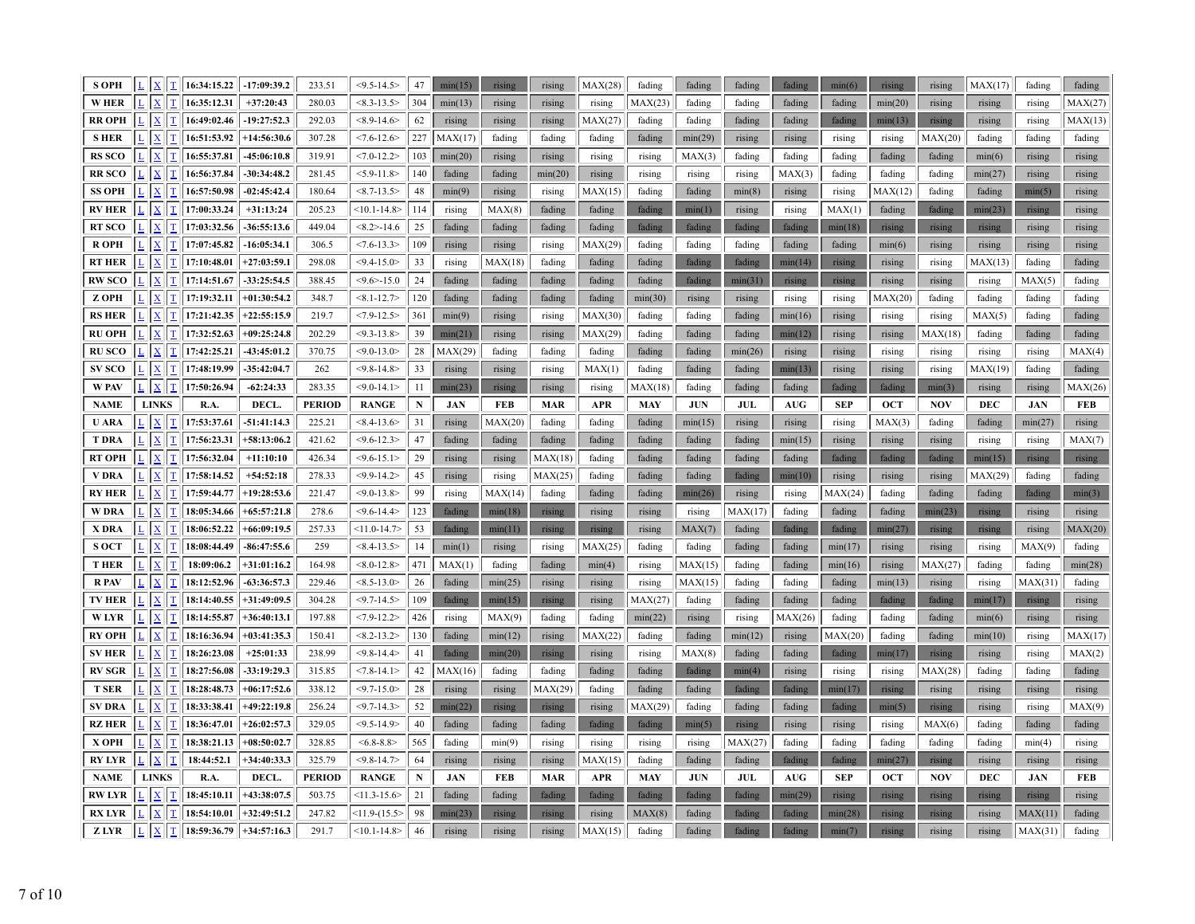| <b>S OPH</b>                  | L. | $\underline{\mathbf{X}}$                             | 16:34:15.22                | $-17:09:39.2$                  | 233.51          | $<$ 9.5-14.5>                     | 47        | min(15)           | rising           | rising           | MAX(28)           | fading           | fading           | fading           | fading           | min(6)            | rising           | rising           | MAX(17)          | fading             | fading           |
|-------------------------------|----|------------------------------------------------------|----------------------------|--------------------------------|-----------------|-----------------------------------|-----------|-------------------|------------------|------------------|-------------------|------------------|------------------|------------------|------------------|-------------------|------------------|------------------|------------------|--------------------|------------------|
| <b>WHER</b>                   |    | X                                                    | 16:35:12.31                | $+37:20:43$                    | 280.03          | $<8.3 - 13.5>$                    | 304       | min(13)           | rising           | rising           | rising            | MAX(23)          | fading           | fading           | fading           | fading            | min(20)          | rising           | rising           | rising             | MAX(27)          |
| <b>RR OPH</b>                 |    | x                                                    | 16:49:02.46                | 19:27:52.3                     | 292.03          | $<8.9 - 14.6$                     | 62        | rising            | rising           | rising           | MAX(27)           | fading           | fading           | fading           | fading           | fading            | min(13)          | rising           | rising           | rising             | MAX(13)          |
| <b>SHER</b>                   |    | X                                                    | 16:51:53.92                | +14:56:30.6                    | 307.28          | $< 7.6 - 12.6$                    | 227       | MAX(17)           | fading           | fading           | fading            | fading           | min(29)          | rising           | rising           | rising            | rising           | MAX(20)          | fading           | fading             | fading           |
| <b>RS SCO</b>                 |    | $\overline{\mathbf{X}}$                              | 16:55:37.81                | 45:06:10.8                     | 319.91          | $< 7.0 - 12.2$                    | 103       | min(20)           | rising           | rising           | rising            | rising           | MAX(3)           | fading           | fading           | fading            | fading           | fading           | min(6)           | rising             | rising           |
| <b>RRSCO</b>                  |    | $\overline{\mathbf{X}}$                              | 16:56:37.84                | $-30:34:48.2$                  | 281.45          | $< 5.9 - 11.8 >$                  | 140       | fading            | fading           | min(20)          | rising            | rising           | rising           | rising           | MAX(3)           | fading            | fading           | fading           | min(27)          | rising             | rising           |
| <b>SS OPH</b>                 |    | x                                                    | 16:57:50.98                | $-02:45:42.4$                  | 180.64          | $< 8.7 - 13.5 >$                  | 48        | min(9)            | rising           | rising           | MAX(15)           | fading           | fading           | min(8)           | rising           | rising            | MAX(12)          | fading           | fading           | min(5)             | rising           |
| <b>RV HER</b>                 |    | $\overline{\mathbf{X}}$                              | 17:00:33.24                | $+31:13:24$                    | 205.23          | $<10.1 - 14.8>$                   | 114       | rising            | MAX(8)           | fading           | fading            | fading           | min(1)           | rising           | rising           | MAX(1)            | fading           | fading           | min(23)          | rising             | rising           |
| <b>RT SCO</b>                 |    | $\mathbf X$                                          | 17:03:32.56                | 36:55:13.6                     | 449.04          | $<\,8.2$ > -14.6                  | 25        | fading            | fading           | fading           | fading            | fading           | fading           | fading           | fading           | min(18)           | rising           | rising           | rising           | rising             | rising           |
| <b>ROPH</b>                   |    | X                                                    | 17:07:45.82                | $-16:05:34.1$                  | 306.5           | $< 7.6 - 13.3$                    | 109       | rising            | rising           | rising           | MAX(29)           | fading           | fading           | fading           | fading           | fading            | min(6)           | rising           | rising           | rising             | rising           |
| <b>RT HER</b>                 |    | $\overline{\mathbf{X}}$                              | 17:10:48.01                | $+27:03:59.1$                  | 298.08          | $<$ 9.4-15.0>                     | 33        | rising            | MAX(18)          | fading           | fading            | fading           | fading           | fading           | min(14)          | rising            | rising           | rising           | MAX(13)          | fading             | fading           |
| <b>RW SCO</b>                 |    | $\bar{\mathbf{x}}$                                   | 17:14:51.67                | $-33:25:54.5$                  | 388.45          | $< 9.6 > -15.0$                   | $24\,$    | fading            | fading           | fading           | fading            | fading           | fading           | min(31)          | rising           | rising            | rising           | rising           | rising           | MAX(5)             | fading           |
| Z OPH                         |    | $\bf{X}$                                             | 17:19:32.11                | $+01:30:54.2$                  | 348.7           | $< 8.1 - 12.7$                    | 120       | fading            | fading           | fading           | fading            | min(30)          | rising           | rising           | rising           | rising            | MAX(20)          | fading           | fading           | fading             | fading           |
| <b>RS HER</b>                 |    | $\overline{\text{X}}$                                | 17:21:42.35                | $+22:55:15.9$                  | 219.7           | $<7.9 - 12.5$                     | 361       | min(9)            | rising           | rising           | MAX(30)           | fading           | fading           | fading           | min(16)          | rising            | rising           | rising           | MAX(5)           | fading             | fading           |
| <b>RU OPH</b>                 |    | X                                                    | 17:32:52.63                | $+09:25:24.8$                  | 202.29          | $< 9.3 - 13.8$                    | 39        | min(21)           | rising           | rising           | MAX(29)           | fading           | fading           | fading           | min(12)          | rising            | rising           | MAX(18)          | fading           | fading             | fading           |
| <b>RUSCO</b>                  |    | $\overline{\mathbf{X}}$                              | 17:42:25.21                | 43:45:01.2                     | 370.75          | $< 9.0 - 13.0$                    | 28        | MAX(29)           | fading           | fading           | fading            | fading           | fading           | min(26)          | rising           | rising            | rising           | rising           | rising           | rising             | MAX(4)           |
| <b>SV SCO</b>                 |    | $\mathbf{x}$                                         | 17:48:19.99                | 35:42:04.7                     | 262             | $<$ 9.8-14.8>                     | 33        | rising            | rising           | rising           | MAX(1)            | fading           | fading           | fading           | min(13)          | rising            | rising           | rising           | MAX(19)          | fading             | fading           |
| <b>W PAV</b>                  |    | $\mathbf X$                                          | 17:50:26.94                | $-62:24:33$                    | 283.35          | $<$ 9.0-14.1>                     | 11        | min(23)           | rising           | rising           | rising            | MAX(18)          | fading           | fading           | fading           | fading            | fading           | min(3)           | rising           | rising             | MAX(26)          |
| <b>NAME</b>                   |    | <b>LINKS</b>                                         | R.A.                       | DECL.                          | <b>PERIOD</b>   | <b>RANGE</b>                      | ${\bf N}$ | <b>JAN</b>        | <b>FEB</b>       | <b>MAR</b>       | <b>APR</b>        | <b>MAY</b>       | <b>JUN</b>       | <b>JUL</b>       | <b>AUG</b>       | <b>SEP</b>        | <b>OCT</b>       | <b>NOV</b>       | DEC              | <b>JAN</b>         | FEB              |
| <b>U ARA</b>                  |    | $\mathbf X$                                          | 17:53:37.61                | $-51:41:14.3$                  | 225.21          | $<8.4 - 13.6$                     | 31        | rising            | MAX(20)          | fading           | fading            | fading           | min(15)          | rising           | rising           | rising            | MAX(3)           | fading           | fading           | min(27)            | rising           |
| <b>T DRA</b>                  |    | $\overline{\mathbf{X}}$                              | 17:56:23.31                | $+58:13:06.2$                  | 421.62          | $<$ 9.6-12.3>                     | 47        | fading            | fading           | fading           | fading            | fading           | fading           | fading           | min(15)          | rising            | rising           | rising           | rising           | rising             | MAX(7)           |
| <b>RT OPH</b>                 |    | X                                                    | 17:56:32.04                | $+11:10:10$                    | 426.34          | $<$ 9.6-15.1>                     | 29        | rising            | rising           | MAX(18)          | fading            | fading           | fading           | fading           | fading           | fading            | fading           | fading           | min(15)          | rising             | rising           |
|                               |    |                                                      |                            |                                |                 |                                   |           |                   |                  |                  |                   |                  |                  |                  |                  |                   |                  |                  |                  |                    |                  |
| V DRA                         |    | X                                                    | 17:58:14.52                | $+54:52:18$                    | 278.33          | $<$ 9.9-14.2>                     | 45        | rising            | rising           | MAX(25)          | fading            | fading           | fading           | fading           | min(10)          | rising            | rising           | rising           | MAX(29)          | fading             | fading           |
| <b>RY HER</b>                 |    | $\mathbf{x}$                                         | 17:59:44.77                | $+19:28:53.6$                  | 221.47          | $< 9.0 - 13.8$                    | 99        | rising            | MAX(14)          | fading           | fading            | fading           | min(26)          | rising           | rising           | MAX(24)           | fading           | fading           | fading           | fading             | min(3)           |
| <b>WDRA</b>                   |    | х                                                    | 18:05:34.66                | $+65:57:21.8$                  | 278.6           | $<$ 9.6-14.4>                     | 123       | fading            | min(18)          | rising           | rising            | rising           | rising           | MAX(17)          | fading           | fading            | fading           | min(23)          | rising           | rising             | rising           |
| X DRA                         |    | $\overline{\mathbf{X}}$                              | 18:06:52.22                | $+66:09:19.5$                  | 257.33          | $<11.0 - 14.7$                    | 53        | fading            | min(11)          | rising           | rising            | rising           | MAX(7)           | fading           | fading           | fading            | min(27)          | rising           | rising           | rising             | MAX(20)          |
| <b>SOCT</b>                   |    | $\overline{\mathbf{X}}$                              | 18:08:44.49                | $-86:47:55.6$                  | 259             | $< 8.4 - 13.5$                    | 14        | min(1)            | rising           | rising           | MAX(25)           | fading           | fading           | fading           | fading           | min(17)           | rising           | rising           | rising           | MAX(9)             | fading           |
| <b>THER</b>                   |    | X                                                    | 18:09:06.2                 | $+31:01:16.2$                  | 164.98          | $< 8.0 - 12.8 >$                  | 471       | MAX(1)            | fading           | fading           | min(4)            | rising           | MAX(15)          | fading           | fading           | min(16)           | rising           | MAX(27)          | fading           | fading             | min(28)          |
| <b>R</b> PAV                  |    | $\overline{\mathbf{X}}$                              | 18:12:52.96                | $-63:36:57.3$                  | 229.46          | $<8.5 - 13.0$                     | 26        | fading            | min(25)          | rising           | rising            | rising           | MAX(15)          | fading           | fading           | fading            | min(13)          | rising           | rising           | MAX(31)            | fading           |
| TV HER                        |    | $\overline{\mathbf{X}}$                              | 18:14:40.55                | +31:49:09.5                    | 304.28          | $<$ 9.7-14.5>                     | 109       | fading            | min(15)          | rising           | rising            | MAX(27)          | fading           | fading           | fading           | fading            | fading           | fading           | min(17)          | rising             | rising           |
| <b>W LYR</b>                  |    | $\overline{\mathbf{X}}$                              | 18:14:55.87                | $+36:40:13.1$                  | 197.88          | $<7.9-12.2>$                      | 426       | rising            | MAX(9)           | fading           | fading            | min(22)          | rising           | rising           | MAX(26)          | fading            | fading           | fading           | min(6)           | rising             | rising           |
| <b>RY OPH</b>                 |    | $\mathbf x$                                          | 18:16:36.94                | $+03:41:35.3$                  | 150.41          | $<8.2 - 13.2>$                    | 130       | fading            | min(12)          | rising           | MAX(22)           | fading           | fading           | min(12)          | rising           | MAX(20)           | fading           | fading           | min(10)          | rising             | MAX(17)          |
| <b>SV HER</b>                 |    | X                                                    | 18:26:23.08                | $+25:01:33$                    | 238.99          | $<$ 9.8-14.4>                     | 41        | fading            | min(20)          | rising           | rising            | rising           | MAX(8)           | fading           | fading           | fading            | min(17)          | rising           | rising           | rising             | MAX(2)           |
| <b>RV SGR</b>                 |    | $\overline{\mathbf{X}}$                              | 18:27:56.08                | $-33:19:29.3$                  | 315.85          | $< 7.8 - 14.1 >$                  | 42        | MAX(16)           | fading           | fading           | fading            | fading           | fading           | min(4)           | rising           | rising            | rising           | MAX(28)          | fading           | fading             | fading           |
| <b>T SER</b>                  |    | $\underline{X}$                                      | 18:28:48.73                | $+06:17:52.6$                  | 338.12          | $<9.7 - 15.0$                     | 28        | rising            | rising           | MAX(29)          | fading            | fading           | fading           | fading           | fading           | min(17)           | rising           | rising           | rising           | rising             | rising           |
| <b>SV DRA</b>                 |    | $\overline{\mathbf{X}}$                              | 18:33:38.41                | $+49:22:19.8$                  | 256.24          | $<$ 9.7-14.3>                     | 52        | min(22)           | rising           | rising           | rising            | MAX(29)          | fading           | fading           | fading           | fading            | min(5)           | rising           | rising           | rising             | MAX(9)           |
| <b>RZ HER</b>                 |    | $\underline{\textbf{X}}$                             | 18:36:47.01                | $+26:02:57.3$                  | 329.05          | $<$ 9.5-14.9>                     | 40        | fading            | fading           | fading           | fading            | fading           | min(5)           | rising           | rising           | rising            | rising           | MAX(6)           | fading           | fading             | fading           |
| X OPH                         |    | $\underline{\mathbf{X}}$                             | 18:38:21.13                | $+08:50:02.7$                  | 328.85          | $<6.8-8.8>$                       | 565       | fading            | min(9)           | rising           | rising            | rising           | rising           | MAX(27)          | fading           | fading            | fading           | fading           | fading           | min(4)             | rising           |
| <b>RY LYR</b>                 |    | $\underline{\mathbf{X}}$                             | 18:44:52.1                 | $+34:40:33.3$                  | 325.79          | $<$ 9.8-14.7>                     | 64        | rising            | rising           | rising           | MAX(15)           | fading           | fading           | fading           | fading           | fading            | min(27)          | rising           | rising           | rising             | rising           |
| <b>NAME</b>                   |    | <b>LINKS</b>                                         | R.A.                       | DECL.                          | <b>PERIOD</b>   | <b>RANGE</b>                      | ${\bf N}$ | <b>JAN</b>        | <b>FEB</b>       | <b>MAR</b>       | <b>APR</b>        | <b>MAY</b>       | <b>JUN</b>       | <b>JUL</b>       | <b>AUG</b>       | <b>SEP</b>        | <b>OCT</b>       | <b>NOV</b>       | <b>DEC</b>       | <b>JAN</b>         | <b>FEB</b>       |
| <b>RW LYR</b>                 |    | X                                                    | 18:45:10.11                | +43:38:07.5                    | 503.75          | $<11.3 - 15.6$                    | 21        | fading            | fading           | fading           | fading            | fading           | fading           | fading           | min(29)          | rising            | rising           | rising           | rising           | rising             | rising           |
| <b>RX LYR</b><br><b>Z LYR</b> |    | $\underline{\mathbf{X}}$<br>$\underline{\mathbf{X}}$ | 18:54:10.01<br>18:59:36.79 | $+32:49:51.2$<br>$+34:57:16.3$ | 247.82<br>291.7 | $<11.9-(15.5)$<br>$<10.1 - 14.8>$ | 98<br>46  | min(23)<br>rising | rising<br>rising | rising<br>rising | rising<br>MAX(15) | MAX(8)<br>fading | fading<br>fading | fading<br>fading | fading<br>fading | min(28)<br>min(7) | rising<br>rising | rising<br>rising | rising<br>rising | MAX(11)<br>MAX(31) | fading<br>fading |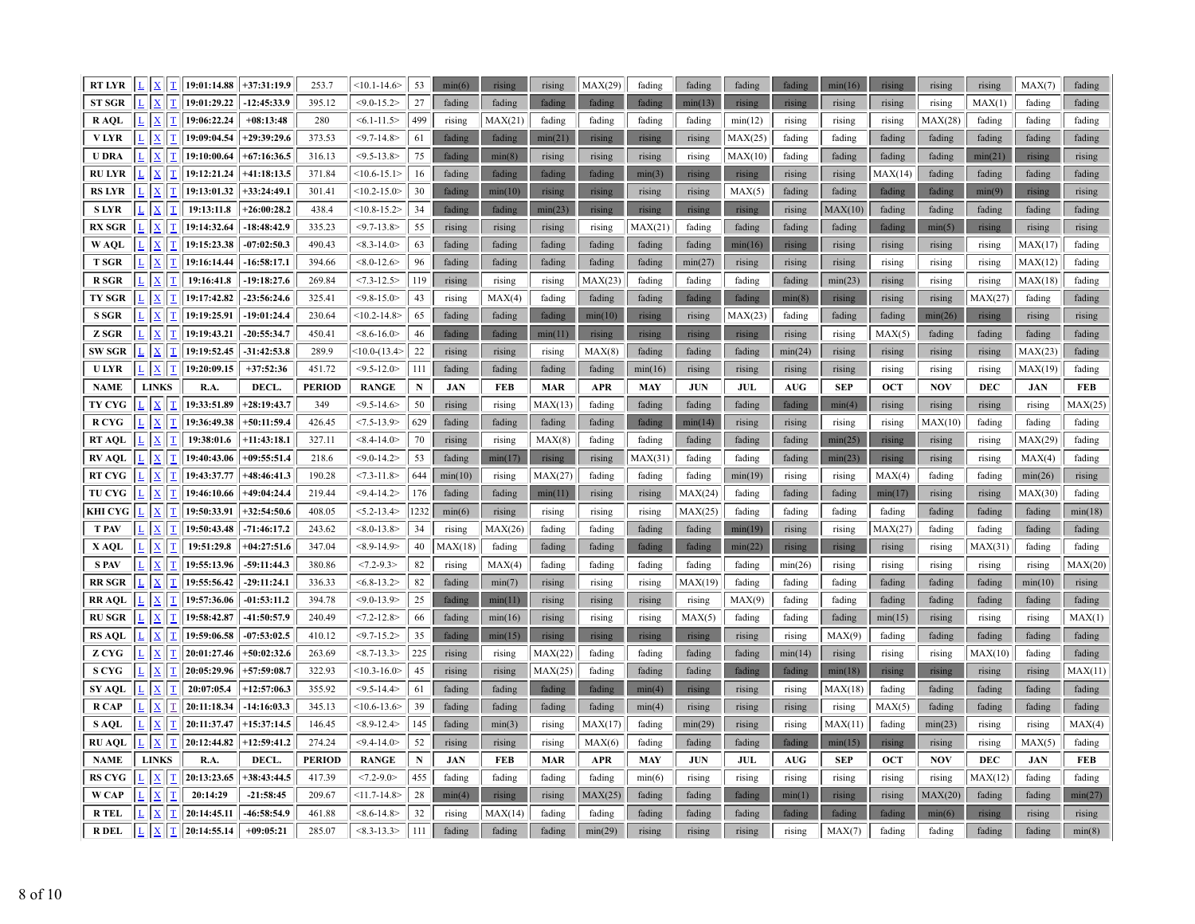| RT LYR         |                                          | $L$ $X$ $T$ 19:01:14.88 +37:31:19.9 |               | 253.7         | $<10.1 - 14.6$   | 53        | min(6)     | rising  | rising     | MAX(29)    | fading     | fading     | fading  | fading     | min(16)    | rising     | rising     | rising     | MAX(7)     | fading     |
|----------------|------------------------------------------|-------------------------------------|---------------|---------------|------------------|-----------|------------|---------|------------|------------|------------|------------|---------|------------|------------|------------|------------|------------|------------|------------|
| <b>ST SGR</b>  | $\sqrt{\frac{X}{\Delta}}$<br>$\mathbf T$ | 19:01:29.22                         | $-12:45:33.9$ | 395.12        | $<$ 9.0-15.2>    | 27        | fading     | fading  | fading     | fading     | fading     | min(13)    | rising  | rising     | rising     | rising     | rising     | MAX(1)     | fading     | fading     |
| R AOL          | $\mathbf{X}$<br>$\mathbf T$              | 19:06:22.24                         | $+08:13:48$   | 280           | $< 6.1 - 11.5$   | 499       | rising     | MAX(21) | fading     | fading     | fading     | fading     | min(12) | rising     | rising     | rising     | MAX(28)    | fading     | fading     | fading     |
| <b>VLYR</b>    | $\mathbf{x}$<br>$\mathbf T$              | 19:09:04.54                         | $+29:39:29.6$ | 373.53        | $<$ 9.7-14.8>    | 61        | fading     | fading  | min(21)    | rising     | rising     | rising     | MAX(25) | fading     | fading     | fading     | fading     | fading     | fading     | fading     |
| <b>U DRA</b>   | $\sqrt{X}$<br>ΙI                         | 19:10:00.64                         | $+67:16:36.5$ | 316.13        | $< 9.5 - 13.8$   | 75        | fading     | min(8)  | rising     | rising     | rising     | rising     | MAX(10) | fading     | fading     | fading     | fading     | min(21)    | rising     | rising     |
| <b>RU LYR</b>  | $\mathbf{X}$<br>$\mathbf{T}$             | 19:12:21.24                         | $+41:18:13.5$ | 371.84        | $<10.6 - 15.1>$  | 16        | fading     | fading  | fading     | fading     | min(3)     | rising     | rising  | rising     | rising     | MAX(14)    | fading     | fading     | fading     | fading     |
| <b>RS LYR</b>  | $ \mathbf{X} $<br>$\mathbf T$            | 19:13:01.32                         | $+33:24:49.1$ | 301.41        | $<10.2 - 15.0>$  | 30        | fading     | min(10) | rising     | rising     | rising     | rising     | MAX(5)  | fading     | fading     | fading     | fading     | min(9)     | rising     | rising     |
| <b>SLYR</b>    | $\underline{\text{T}}$<br>$\mathbf{X}$   | 19:13:11.8                          | $+26:00:28.2$ | 438.4         | $<10.8 - 15.2>$  | 34        | fading     | fading  | min(23)    | rising     | rising     | rising     | rising  | rising     | MAX(10)    | fading     | fading     | fading     | fading     | fading     |
| <b>RX SGR</b>  | $\mathbf{X}$<br>ΙT                       | 19:14:32.64                         | $-18:48:42.9$ | 335.23        | $<$ 9.7-13.8>    | 55        | rising     | rising  | rising     | rising     | MAX(21)    | fading     | fading  | fading     | fading     | fading     | min(5)     | rising     | rising     | rising     |
| W AQL          | $\mathbf{X}$<br>T                        | 19:15:23.38                         | $-07:02:50.3$ | 490.43        | $<8.3 - 14.0$    | 63        | fading     | fading  | fading     | fading     | fading     | fading     | min(16) | rising     | rising     | rising     | rising     | rising     | MAX(17)    | fading     |
| <b>T SGR</b>   | $ \mathbf{X} $<br>T                      | 19:16:14.44                         | $-16:58:17.1$ | 394.66        | $< 8.0 - 12.6$   | 96        | fading     | fading  | fading     | fading     | fading     | min(27)    | rising  | rising     | rising     | rising     | rising     | rising     | MAX(12)    | fading     |
| <b>R</b> SGR   | $\mathbf{X}$<br>$\mathbf T$              | 19:16:41.8                          | $-19:18:27.6$ | 269.84        | $<7.3 - 12.5$    | 119       | rising     | rising  | rising     | MAX(23)    | fading     | fading     | fading  | fading     | min(23)    | rising     | rising     | rising     | MAX(18)    | fading     |
| <b>TY SGR</b>  | $\vert x \vert$<br>$\mathbf T$           | 19:17:42.82                         | $-23:56:24.6$ | 325.41        | $<9.8 - 15.0$    | 43        | rising     | MAX(4)  | fading     | fading     | fading     | fading     | fading  | min(8)     | rising     | rising     | rising     | MAX(27)    | fading     | fading     |
| <b>S SGR</b>   | $\mathbf{X}$<br>$\mathbf T$              | 19:19:25.91                         | $-19:01:24.4$ | 230.64        | $<10.2 - 14.8>$  | 65        | fading     | fading  | fading     | min(10)    | rising     | rising     | MAX(23) | fading     | fading     | fading     | min(26)    | rising     | rising     | rising     |
| Z SGR          | $\sqrt{\frac{1}{2}}$<br>$\mathbf T$      | 19:19:43.21                         | $-20:55:34.7$ | 450.41        | $<8.6 - 16.0$    | 46        | fading     | fading  | min(11)    | rising     | rising     | rising     | rising  | rising     | rising     | MAX(5)     | fading     | fading     | fading     | fading     |
| SW SGR         | $\boxed{\mathbf{X}}$<br>II               | 19:19:52.45                         | $-31:42:53.8$ | 289.9         | $<10.0-(13.4>$   | $22\,$    | rising     | rising  | rising     | MAX(8)     | fading     | fading     | fading  | min(24)    | rising     | rising     | rising     | rising     | MAX(23)    | fading     |
| <b>ULYR</b>    | $\mathbf{X}$ $\mathbf{T}$                | 19:20:09.15                         | $+37:52:36$   | 451.72        | $<$ 9.5-12.0 $>$ | 111       | fading     | fading  | fading     | fading     | min(16)    | rising     | rising  | rising     | rising     | rising     | rising     | rising     | MAX(19)    | fading     |
| <b>NAME</b>    | <b>LINKS</b>                             | R.A.                                | DECL.         | <b>PERIOD</b> | <b>RANGE</b>     | ${\bf N}$ | <b>JAN</b> | FEB     | <b>MAR</b> | <b>APR</b> | <b>MAY</b> | <b>JUN</b> | JUL     | <b>AUG</b> | <b>SEP</b> | <b>OCT</b> | <b>NOV</b> | <b>DEC</b> | <b>JAN</b> | <b>FEB</b> |
| TY CYG         | $\sqrt{\mathbf{x}}$<br>$\mathbf T$       | 19:33:51.89                         | $+28:19:43.7$ | 349           | $< 9.5 - 14.6$   | 50        | rising     | rising  | MAX(13)    | fading     | fading     | fading     | fading  | fading     | min(4)     | rising     | rising     | rising     | rising     | MAX(25)    |
| <b>RCYG</b>    | $\sqrt{\frac{X}{\Delta}}$<br>$\vert$ T   | 19:36:49.38                         | $+50:11:59.4$ | 426.45        | $< 7.5 - 13.9$   | 629       | fading     | fading  | fading     | fading     | fading     | min(14)    | rising  | rising     | rising     | rising     | MAX(10)    | fading     | fading     | fading     |
| RT AQL         | $\mathbf{x}$<br>$\mathbf{T}$             | 19:38:01.6                          | $+11:43:18.1$ | 327.11        | $< 8.4 - 14.0$   | 70        | rising     | rising  | MAX(8)     | fading     | fading     | fading     | fading  | fading     | min(25)    | rising     | rising     | rising     | MAX(29)    | fading     |
| <b>RV AQL</b>  | $ \mathbf{X} $<br>$\mathbf T$            | 19:40:43.06                         | $+09:55:51.4$ | 218.6         | $<$ 9.0-14.2>    | 53        | fading     | min(17) | rising     | rising     | MAX(31)    | fading     | fading  | fading     | min(23)    | rising     | rising     | rising     | MAX(4)     | fading     |
| <b>RT CYG</b>  | $\sqrt{ \mathbf{X}}$<br>$\mathbf{T}$     | 19:43:37.77                         | $+48:46:41.3$ | 190.28        | $< 7.3 - 11.8$   | 644       | min(10)    | rising  | MAX(27)    | fading     | fading     | fading     | min(19) | rising     | rising     | MAX(4)     | fading     | fading     | min(26)    | rising     |
| TU CYG         | $ \mathbf{x} $<br>ΙI                     | 19:46:10.66                         | +49:04:24.4   | 219.44        | $<$ 9.4-14.2>    | 176       | fading     | fading  | min(11)    | rising     | rising     | MAX(24)    | fading  | fading     | fading     | min(17)    | rising     | rising     | MAX(30)    | fading     |
| <b>KHI CYG</b> | $\mathbf{X}$<br>$\mathbf T$              | 19:50:33.91                         | $+32:54:50.6$ | 408.05        | $< 5.2 - 13.4$   | 1232      | min(6)     | rising  | rising     | rising     | rising     | MAX(25)    | fading  | fading     | fading     | fading     | fading     | fading     | fading     | min(18)    |
| <b>T PAV</b>   | $\mathbf{X}$<br>$\mathbf T$              | 19:50:43.48                         | $-71:46:17.2$ | 243.62        | $< 8.0 - 13.8 >$ | 34        | rising     | MAX(26) | fading     | fading     | fading     | fading     | min(19) | rising     | rising     | MAX(27)    | fading     | fading     | fading     | fading     |
| X AQL          | $\sqrt{\frac{1}{2}}$<br>$\mathbf T$      | 19:51:29.8                          | $+04:27:51.6$ | 347.04        | $<8.9 - 14.9$    | 40        | MAX(18)    | fading  | fading     | fading     | fading     | fading     | min(22) | rising     | rising     | rising     | rising     | MAX(31)    | fading     | fading     |
| <b>S PAV</b>   | $\mathbf{X}$<br>$\mathbf T$              | 19:55:13.96                         | 59:11:44.3    | 380.86        | $<7.2 - 9.3>$    | 82        | rising     | MAX(4)  | fading     | fading     | fading     | fading     | fading  | min(26)    | rising     | rising     | rising     | rising     | rising     | MAX(20)    |
| <b>RR SGR</b>  | $\mathbf{X}$                             | 19:55:56.42                         | $-29:11:24.1$ | 336.33        | $< 6.8 - 13.2$   | 82        | fading     | min(7)  | rising     | rising     | rising     | MAX(19     | fading  | fading     | fading     | fading     | fading     | fading     | min(10)    | rising     |
| <b>RRAOL</b>   | $\mathbf{X}$<br>$\mathbf T$              | 19:57:36.06                         | $-01:53:11.2$ | 394.78        | $<0.0-13.9$      | 25        | fading     | min(11) | rising     | rising     | rising     | rising     | MAX(9)  | fading     | fading     | fading     | fading     | fading     | fading     | fading     |
| <b>RUSGR</b>   | $ \mathbf{x} $<br>IΙ                     | 19:58:42.87                         | -41:50:57.9   | 240.49        | $<7.2 - 12.8$    | 66        | fading     | min(16) | rising     | rising     | rising     | MAX(5)     | fading  | fading     | fading     | min(15)    | rising     | rising     | rising     | MAX(1)     |
| <b>RS AQL</b>  | $\mathbf{x}$<br>ΙI                       | 19:59:06.58                         | $-07:53:02.5$ | 410.12        | $<$ 9.7-15.2>    | 35        | fading     | min(15) | rising     | rising     | rising     | rising     | rising  | rising     | MAX(9)     | fading     | fading     | fading     | fading     | fading     |
| Z CYG          | $\mathbf{X}$<br>$\mathbf T$              | 20:01:27.46                         | $+50:02:32.6$ | 263.69        | $<8.7 - 13.3>$   | 225       | rising     | rising  | MAX(22)    | fading     | fading     | fading     | fading  | min(14)    | rising     | rising     | rising     | MAX(10)    | fading     | fading     |
| <b>S CYG</b>   | $\vert x \vert$<br>$\mathbf{T}$          | 20:05:29.96                         | $+57:59:08.7$ | 322.93        | $<10.3 - 16.0$   | 45        | rising     | rising  | MAX(25)    | fading     | fading     | fading     | fading  | fading     | min(18)    | rising     | rising     | rising     | rising     | MAX(11)    |
| SY AQL         | $ \mathbf{x} $<br>T                      | 20:07:05.4                          | $+12:57:06.3$ | 355.92        | $<$ 9.5-14.4>    | 61        | fading     | fading  | fading     | fading     | min(4)     | rising     | rising  | rising     | MAX(18)    | fading     | fading     | fading     | fading     | fading     |
| <b>RCAP</b>    | $\overline{\mathbf{x}}$<br>ΙT            | 20:11:18.34                         | $-14:16:03.3$ | 345.13        | $<10.6 - 13.6$   | 39        | fading     | fading  | fading     | fading     | min(4)     | rising     | rising  | rising     | rising     | MAX(5)     | fading     | fading     | fading     | fading     |
| S AOL          | $\mathbf{X}$<br>ΙI                       | 20:11:37.47                         | $+15:37:14.5$ | 146.45        | $<8.9 - 12.4$    | 145       | fading     | min(3)  | rising     | MAX(17)    | fading     | min(29)    | rising  | rising     | MAX(11)    | fading     | min(23)    | rising     | rising     | MAX(4)     |
| <b>RU AQL</b>  | $\sqrt{ \mathbf{X} }$<br> T              | 20:12:44.82                         | $+12:59:41.2$ | 274.24        | $<$ 9.4-14.0 $>$ | 52        | rising     | rising  | rising     | MAX(6)     | fading     | fading     | fading  | fading     | min(15)    | rising     | rising     | rising     | MAX(5)     | fading     |
| <b>NAME</b>    | <b>LINKS</b>                             | R.A.                                | DECL.         | <b>PERIOD</b> | <b>RANGE</b>     | ${\bf N}$ | <b>JAN</b> | FEB     | <b>MAR</b> | <b>APR</b> | <b>MAY</b> | <b>JUN</b> | JUL     | <b>AUG</b> | <b>SEP</b> | <b>OCT</b> | <b>NOV</b> | <b>DEC</b> | <b>JAN</b> | <b>FEB</b> |
| <b>RS CYG</b>  | $\overline{\mathbf{x}}$<br>$\mathbf T$   | 20:13:23.65                         | $+38:43:44.5$ | 417.39        | $<7.2 - 9.0$     | 455       | fading     | fading  | fading     | fading     | min(6)     | rising     | rising  | rising     | rising     | rising     | rising     | MAX(12)    | fading     | fading     |
| W CAP          | $\mathbf{X}$<br>$\overline{1}$           | 20:14:29                            | $-21:58:45$   | 209.67        | $<11.7 - 14.8$   | 28        | min(4)     | rising  | rising     | MAX(25)    | fading     | fading     | fading  | min(1)     | rising     | rising     | MAX(20)    | fading     | fading     | min(27)    |
| <b>R</b> TEL   | $\mathbf{X}$<br>$ \mathbf{T} $           | 20:14:45.11                         | -46:58:54.9   | 461.88        | $<8.6 - 14.8$    | 32        | rising     | MAX(14) | fading     | fading     | fading     | fading     | fading  | fading     | fading     | fading     | min(6)     | rising     | rising     | rising     |
| <b>RDEL</b>    | $L$ $X$ $T$                              | 20:14:55.14                         | $+09:05:21$   | 285.07        | $<8.3 - 13.3>$   | 111       | fading     | fading  | fading     | min(29)    | rising     | rising     | rising  | rising     | MAX(7)     | fading     | fading     | fading     | fading     | min(8)     |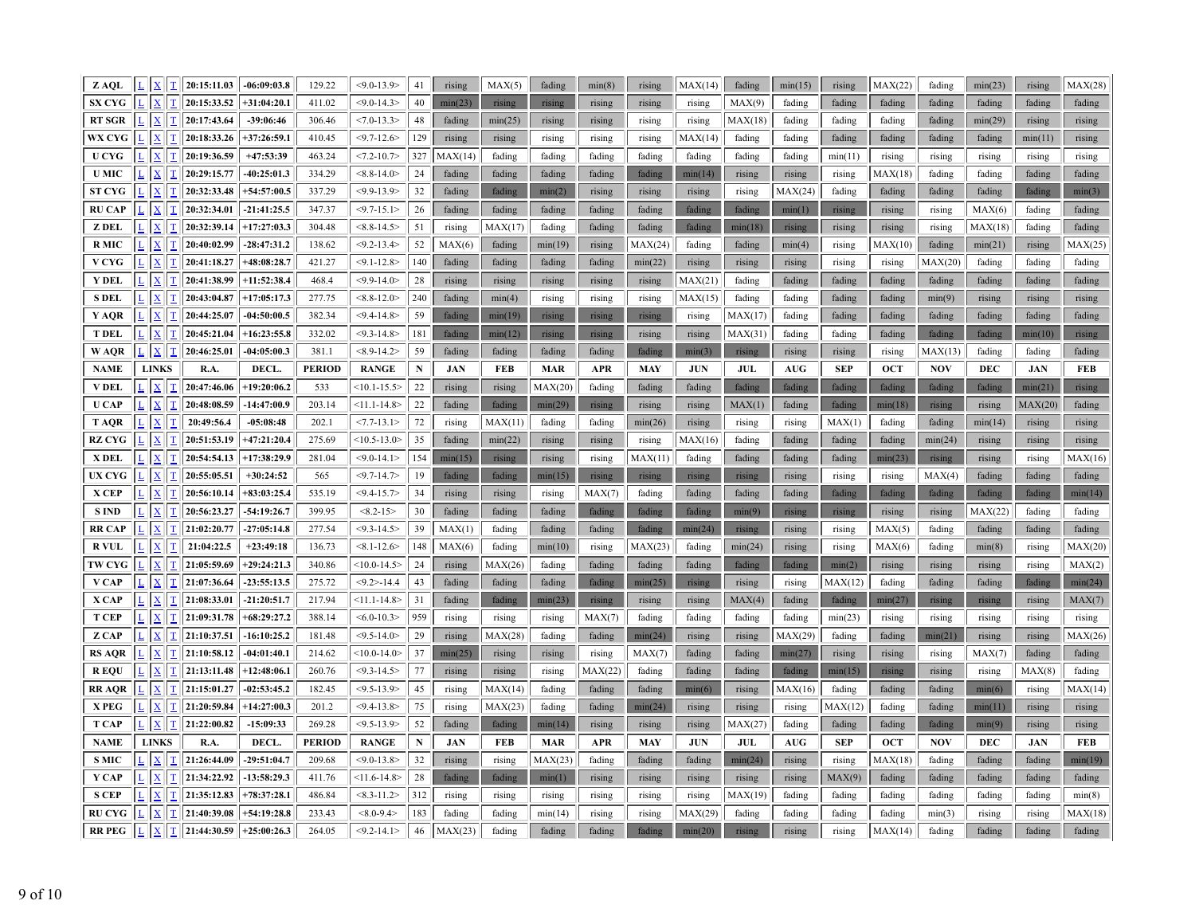| Z AQL                 |              | $L$   $X$                |                          | $T$ 20:15:11.03                                               | $-06:09:03.8$                  | 129.22           | $< 9.0 - 13.9$                     | 41        | rising            | MAX(5)            | fading           | min(8)           | rising            | MAX(14)          | fading           | min(15)            | rising           | MAX(22)          | fading            | min(23)          | rising           | MAX(28)           |
|-----------------------|--------------|--------------------------|--------------------------|---------------------------------------------------------------|--------------------------------|------------------|------------------------------------|-----------|-------------------|-------------------|------------------|------------------|-------------------|------------------|------------------|--------------------|------------------|------------------|-------------------|------------------|------------------|-------------------|
| <b>SX CYG</b>         |              | $\mathbf X$              | $\bar{\rm T}$            | 20:15:33.52                                                   | $+31:04:20.1$                  | 411.02           | $< 9.0 - 14.3$                     | 40        | min(23)           | rising            | rising           | rising           | rising            | rising           | MAX(9)           | fading             | fading           | fading           | fading            | fading           | fading           | fading            |
| <b>RT SGR</b>         |              | $\mathbf{X}$             | $\overline{\mathbf{T}}$  | 20:17:43.64                                                   | $-39:06:46$                    | 306.46           | $< 7.0 - 13.3$                     | 48        | fading            | min(25)           | rising           | rising           | rising            | rising           | MAX(18)          | fading             | fading           | fading           | fading            | min(29)          | rising           | rising            |
| WX CYG                |              | $\mathbf X$              | $\mathbf T$              | 20:18:33.26                                                   | $+37:26:59.1$                  | 410.45           | $<$ 9.7-12.6 $>$                   | 129       | rising            | rising            | rising           | rising           | rising            | MAX(14)          | fading           | fading             | fading           | fading           | fading            | fading           | min(11)          | rising            |
| <b>U CYG</b>          |              | $\mathbf{X}$             |                          | $T$ 20:19:36.59                                               | $+47:53:39$                    | 463.24           | $<7.2 - 10.7$                      | 327       | MAX(14)           | fading            | fading           | fading           | fading            | fading           | fading           | fading             | min(11)          | rising           | rising            | rising           | rising           | rising            |
| <b>U MIC</b>          |              | $\underline{\mathbf{X}}$ |                          | $T$ 20:29:15.77                                               | $-40:25:01.3$                  | 334.29           | $<8.8 - 14.0$                      | 24        | fading            | fading            | fading           | fading           | fading            | min(14)          | rising           | rising             | rising           | MAX(18)          | fading            | fading           | fading           | fading            |
| <b>ST CYG</b>         |              | $\mathbf{X}$             | $\mathbf T$              | 20:32:33.48                                                   | $+54:57:00.5$                  | 337.29           | $<$ 9.9-13.9>                      | 32        | fading            | fading            | min(2)           | rising           | rising            | rising           | rising           | MAX(24)            | fading           | fading           | fading            | fading           | fading           | min(3)            |
| <b>RU CAP</b>         |              | $\mathbf{x}$             | $\mathbf{T}$             | 20:32:34.01                                                   | $-21:41:25.5$                  | 347.37           | $<$ 9.7-15.1>                      | 26        | fading            | fading            | fading           | fading           | fading            | fading           | fading           | min(1)             | rising           | rising           | rising            | MAX(6)           | fading           | fading            |
| Z DEL                 | $\mathbf{L}$ | $\mathbf{X}$             |                          | $T$ 20:32:39.14                                               | $+17:27:03.3$                  | 304.48           | $<8.8 - 14.5>$                     | 51        | rising            | MAX(17)           | fading           | fading           | fading            | fading           | min(18)          | rising             | rising           | rising           | rising            | MAX(18)          | fading           | fading            |
| <b>RMIC</b>           |              | $\mathbf{X}$             |                          | $T$ 20:40:02.99                                               | $-28:47:31.2$                  | 138.62           | $<$ 9.2-13.4>                      | 52        | MAX(6)            | fading            | min(19)          | rising           | MAX(24)           | fading           | fading           | min(4)             | rising           | MAX(10)          | fading            | min(21)          | rising           | MAX(25)           |
| V CYG                 |              | $\underline{\mathbf{X}}$ | $\overline{\mathbf{T}}$  | 20:41:18.27                                                   | $+48:08:28.7$                  | 421.27           | $< 9.1 - 12.8$                     | 140       | fading            | fading            | fading           | fading           | min(22)           | rising           | rising           | rising             | rising           | rising           | MAX(20)           | fading           | fading           | fading            |
| Y DEL                 |              | $\mathbf X$              | $\mathbf T$              | 20:41:38.99                                                   | $+11:52:38.4$                  | 468.4            | $<$ 9.9-14.0>                      | 28        | rising            | rising            | rising           | rising           | rising            | MAX(21)          | fading           | fading             | fading           | fading           | fading            | fading           | fading           | fading            |
| <b>S DEL</b>          | ĿΙ           | $\mathbf{x}$             | $\underline{\text{T}}$   | 20:43:04.87                                                   | $+17:05:17.3$                  | 277.75           | $<8.8 - 12.0$                      | 240       | fading            | min(4)            | rising           | rising           | rising            | MAX(15)          | fading           | fading             | fading           | fading           | min(9)            | rising           | rising           | rising            |
| Y AQR                 |              | $L \mid X$               | $\mathbf{T}$             | 20:44:25.07                                                   | $-04:50:00.5$                  | 382.34           | $<$ 9.4-14.8>                      | 59        | fading            | min(19)           | rising           | rising           | rising            | rising           | MAX(17)          | fading             | fading           | fading           | fading            | fading           | fading           | fading            |
| <b>T DEL</b>          |              | $\mathbf{X}$             | $\overline{\mathbf{T}}$  | 20:45:21.04                                                   | $+16:23:55.8$                  | 332.02           | $<$ 9.3-14.8>                      | 181       | fading            | min(12)           | rising           | rising           | rising            | rising           | MAX(31)          | fading             | fading           | fading           | fading            | fading           | min(10)          | rising            |
| W AQR                 |              | X                        | $\mathbf{T}$             | 20:46:25.01                                                   | $-04:05:00.3$                  | 381.1            | $<8.9 - 14.2$                      | 59        | fading            | fading            | fading           | fading           | fading            | min(3)           | rising           | rising             | rising           | rising           | MAX(13)           | fading           | fading           | fading            |
| <b>NAME</b>           |              | <b>LINKS</b>             |                          | R.A.                                                          | DECL.                          | <b>PERIOD</b>    | <b>RANGE</b>                       | ${\bf N}$ | <b>JAN</b>        | <b>FEB</b>        | <b>MAR</b>       | <b>APR</b>       | <b>MAY</b>        | <b>JUN</b>       | JUL              | <b>AUG</b>         | <b>SEP</b>       | <b>OCT</b>       | <b>NOV</b>        | <b>DEC</b>       | <b>JAN</b>       | <b>FEB</b>        |
| <b>V DEL</b>          |              | $\underline{\mathbf{X}}$ | T                        | 20:47:46.06                                                   | $+19:20:06.2$                  | 533              | $<10.1 - 15.5>$                    | 22        | rising            | rising            | MAX(20)          | fading           | fading            | fading           | fading           | fading             | fading           | fading           | fading            | fading           | min(21)          | rising            |
| <b>U</b> CAP          |              | $\mathbf{x}$             | $\overline{\mathbf{T}}$  | 20:48:08.59                                                   | $-14:47:00.9$                  | 203.14           | $<11.1 - 14.8$                     | 22        | fading            | fading            | min(29)          | rising           | rising            | rising           | MAX(1)           | fading             | fading           | min(18)          | rising            | rising           | MAX(20)          | fading            |
| <b>TAOR</b>           |              | $\mathbf{x}$             | $\overline{\mathbf{I}}$  | 20:49:56.4                                                    | $-05:08:48$                    | 202.1            | $< 7.7 - 13.1 >$                   | 72        | rising            | MAX(11)           | fading           | fading           | min(26)           | rising           | rising           | rising             | MAX(1)           | fading           | fading            | min(14)          | rising           | rising            |
| <b>RZ CYG</b>         |              | $\overline{\mathbf{X}}$  | $\mathbf T$              | 20:51:53.19                                                   | $+47:21:20.4$                  | 275.69           | $<10.5 - 13.0$                     | 35        | fading            | min(22)           | rising           | rising           | rising            | MAX(16)          | fading           | fading             | fading           | fading           | min(24)           | rising           | rising           | rising            |
| X DEL                 |              | $\mathbf{x}$             | T                        | 20:54:54.13                                                   | $+17:38:29.9$                  | 281.04           | $<$ 9.0-14.1>                      | 154       | min(15)           | rising            | rising           | rising           | MAX(11)           | fading           | fading           | fading             | fading           | min(23)          | rising            | rising           | rising           | MAX(16)           |
| <b>UX CYG</b>         |              |                          | T                        | 20:55:05.51                                                   | $+30:24:52$                    | 565              | $<$ 9.7-14.7>                      | 19        | fading            | fading            | min(15)          | rising           | rising            | rising           | rising           | rising             | rising           | rising           | MAX(4)            | fading           | fading           | fading            |
| X CEP                 | L            | $\mathbf{X}$             | $\underline{\mathbf{T}}$ | 20:56:10.14                                                   | $+83:03:25.4$                  | 535.19           | $<$ 9.4-15.7>                      | 34        | rising            | rising            | rising           | MAX(7)           | fading            | fading           | fading           | fading             | fading           | fading           | fading            | fading           | fading           | min(14)           |
| <b>SIND</b>           |              | X                        | $\mathbf T$              | 20:56:23.27                                                   | $-54:19:26.7$                  | 399.95           | $<8.2 - 15$                        | 30        | fading            | fading            | fading           | fading           | fading            | fading           | min(9)           | rising             | rising           | rising           | rising            | MAX(22)          | fading           | fading            |
| RR CAP                | L            | $\mathbf{X}$             | $\overline{\mathbf{T}}$  | 21:02:20.77                                                   | $-27:05:14.8$                  | 277.54           | $<$ 9.3-14.5>                      | 39        | MAX(1)            | fading            | fading           | fading           | fading            | min(24)          | rising           | rising             | rising           | MAX(5)           | fading            | fading           | fading           | fading            |
| <b>R VUL</b>          |              | X                        | $\bar{\rm T}$            | 21:04:22.5                                                    | $+23:49:18$                    | 136.73           | $< 8.1 - 12.6$                     | 148       | MAX(6)            | fading            | min(10)          | rising           | MAX(23)           | fading           | min(24)          | rising             | rising           | MAX(6)           | fading            | min(8)           | rising           | MAX(20)           |
| <b>TW CYG</b>         | L            | $\mathbf{X}$             |                          | $T$ 21:05:59.69                                               | $+29:24:21.3$                  | 340.86           | $<10.0 - 14.5>$                    | 24        | rising            | MAX(26)           | fading           | fading           | fading            | fading           | fading           | fading             | min(2)           | rising           | rising            | rising           | rising           | MAX(2)            |
| V CAP                 |              | $\mathbf{X}$             |                          | $T$ 21:07:36.64                                               | $-23:55:13.5$                  | 275.72           | $<$ 9.2>-14.4                      | 43        | fading            | fading            | fading           | fading           | min(25)           | rising           | rising           | rising             | MAX(12)          | fading           | fading            | fading           | fading           | min(24)           |
| X CAP                 |              | $\mathbf{X}$             |                          | $T$   21:08:33.01                                             | $-21:20:51.7$<br>$+68:29:27.2$ | 217.94           | $<11.1 - 14.8$                     | 31<br>959 | fading            | fading            | min(23)          | rising           | rising            | rising           | MAX(4)           | fading             | fading           | min(27)          | rising            | rising           | rising           | MAX(7)            |
| <b>T CEP</b><br>Z CAP |              | $\mathbf{X}$<br>L  X     |                          | $T$ 21:09:31.78<br>$\boxed{\underline{\text{T}}}$ 21:10:37.51 | $-16:10:25.2$                  | 388.14<br>181.48 | $< 6.0 - 10.3$<br>$<$ 9.5-14.0 $>$ | 29        | rising            | rising            | rising           | MAX(7)           | fading<br>min(24) | fading           | fading           | fading             | min(23)          | rising           | rising            | rising           | rising           | rising            |
| <b>RS AQR</b>         |              | $\mathbf{X}$             |                          | $\boxed{\underline{T}}$ 21:10:58.12                           | $-04:01:40.1$                  | 214.62           | $<10.0 - 14.0>$                    | 37        | rising<br>min(25) | MAX(28)<br>rising | fading<br>rising | fading<br>rising | MAX(7)            | rising<br>fading | rising<br>fading | MAX(29)<br>min(27) | fading<br>rising | fading<br>rising | min(21)<br>rising | rising<br>MAX(7) | rising<br>fading | MAX(26)<br>fading |
| <b>REOU</b>           |              | $\underline{\mathbf{X}}$ | $\overline{\mathbf{T}}$  | 21:13:11.48                                                   | $+12:48:06.1$                  | 260.76           | $<$ 9.3-14.5>                      | 77        | rising            | rising            | rising           | MAX(22)          | fading            | fading           | fading           | fading             | min(15)          | rising           | rising            | rising           | MAX(8)           | fading            |
| <b>RRAOR</b>          |              | $\mathbf X$              | $\mathbf T$              | 21:15:01.27                                                   | $-02:53:45.2$                  | 182.45           | $<$ 9.5-13.9>                      | 45        | rising            | MAX(14)           | fading           | fading           | fading            | min(6)           | rising           | MAX(16)            | fading           | fading           | fading            | min(6)           | rising           | MAX(14)           |
| X PEG                 |              | $\mathbf{X}$             |                          | $T$ 21:20:59.84                                               | $+14:27:00.3$                  | 201.2            | $< 9.4 - 13.8$                     | 75        | rising            | MAX(23)           | fading           | fading           | min(24)           | rising           | rising           | rising             | MAX(12)          | fading           | fading            | min(11)          | rising           | rising            |
| <b>T CAP</b>          |              | L  X                     | $ \mathbf{T} $           | 21:22:00.82                                                   | $-15:09:33$                    | 269.28           | $<9.5 - 13.9$                      | 52        | fading            | fading            | min(14)          | rising           | rising            | rising           | MAX(27)          | fading             | fading           | fading           | fading            | min(9)           | rising           | rising            |
| <b>NAME</b>           |              | <b>LINKS</b>             |                          | R.A.                                                          | DECL.                          | <b>PERIOD</b>    | <b>RANGE</b>                       | ${\bf N}$ | <b>JAN</b>        | <b>FEB</b>        | <b>MAR</b>       | <b>APR</b>       | <b>MAY</b>        | <b>JUN</b>       | JUL              | <b>AUG</b>         | <b>SEP</b>       | <b>OCT</b>       | <b>NOV</b>        | <b>DEC</b>       | <b>JAN</b>       | <b>FEB</b>        |
| <b>SMIC</b>           |              | $\mathbf{X}$             | T                        | 21:26:44.09                                                   | $-29:51:04.7$                  | 209.68           | $< 9.0 - 13.8$                     | 32        | rising            | rising            | MAX(23)          | fading           | fading            | fading           | min(24)          | rising             | rising           | MAX(18)          | fading            | fading           | fading           | min(19)           |
| Y CAP                 | L            | $\mathbf{X}$             | $\mathbf T$              | 21:34:22.92                                                   | $-13:58:29.3$                  | 411.76           | $<11.6 - 14.8$                     | 28        | fading            | fading            | min(1)           | rising           | rising            | rising           | rising           | rising             | MAX(9)           | fading           | fading            | fading           | fading           | fading            |
| <b>S CEP</b>          |              | $L$   $X$                |                          | $T$ 21:35:12.83                                               | $+78:37:28.1$                  | 486.84           | $< 8.3 - 11.2$                     | 312       | rising            | rising            | rising           | rising           | rising            | rising           | MAX(19)          | fading             | fading           | fading           | fading            | fading           | fading           | min(8)            |
| <b>RU CYG</b>         |              |                          | $\overline{\mathbf{I}}$  | 21:40:39.08                                                   | $+54:19:28.8$                  | 233.43           | $< 8.0 - 9.4$                      | 183       | fading            | fading            | min(14)          | rising           | rising            | MAX(29)          | fading           | fading             | fading           | fading           | min(3)            | rising           | rising           | MAX(18)           |
| <b>RR PEG</b>         |              | $\underline{\mathbf{X}}$ |                          | $\boxed{\underline{T}}$ 21:44:30.59                           | $+25:00:26.3$                  | 264.05           | $<$ 9.2-14.1>                      | $46\,$    | MAX(23)           | fading            | fading           | fading           | fading            | min(20)          | rising           | rising             | rising           | MAX(14)          | fading            | fading           | fading           | fading            |
|                       |              |                          |                          |                                                               |                                |                  |                                    |           |                   |                   |                  |                  |                   |                  |                  |                    |                  |                  |                   |                  |                  |                   |